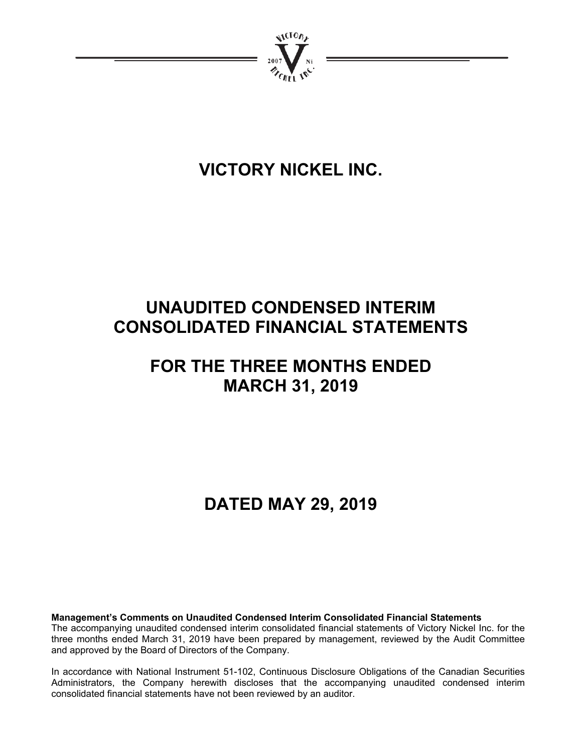

# **VICTORY NICKEL INC.**

# **UNAUDITED CONDENSED INTERIM CONSOLIDATED FINANCIAL STATEMENTS**

# **FOR THE THREE MONTHS ENDED MARCH 31, 2019**

# **DATED MAY 29, 2019**

**Management's Comments on Unaudited Condensed Interim Consolidated Financial Statements**  The accompanying unaudited condensed interim consolidated financial statements of Victory Nickel Inc. for the three months ended March 31, 2019 have been prepared by management, reviewed by the Audit Committee and approved by the Board of Directors of the Company.

In accordance with National Instrument 51-102, Continuous Disclosure Obligations of the Canadian Securities Administrators, the Company herewith discloses that the accompanying unaudited condensed interim consolidated financial statements have not been reviewed by an auditor.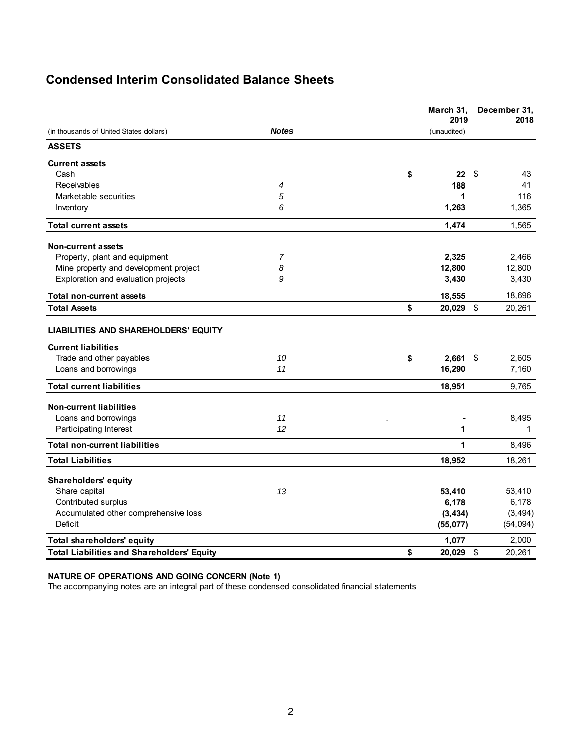# **Condensed Interim Consolidated Balance Sheets**

|                                                   |                | March 31,<br>2019 | December 31,<br>2018 |
|---------------------------------------------------|----------------|-------------------|----------------------|
| (in thousands of United States dollars)           | <b>Notes</b>   | (unaudited)       |                      |
| <b>ASSETS</b>                                     |                |                   |                      |
| <b>Current assets</b>                             |                |                   |                      |
| Cash                                              |                | \$<br>22          | -\$<br>43            |
| Receivables                                       | 4              | 188               | 41                   |
| Marketable securities                             | 5              | 1                 | 116                  |
| Inventory                                         | 6              | 1,263             | 1,365                |
| <b>Total current assets</b>                       |                | 1,474             | 1,565                |
| Non-current assets                                |                |                   |                      |
| Property, plant and equipment                     | $\overline{7}$ | 2,325             | 2,466                |
| Mine property and development project             | 8              | 12,800            | 12,800               |
| Exploration and evaluation projects               | 9              | 3,430             | 3,430                |
| <b>Total non-current assets</b>                   |                | 18,555            | 18,696               |
| <b>Total Assets</b>                               |                | \$<br>20,029 \$   | 20,261               |
| <b>LIABILITIES AND SHAREHOLDERS' EQUITY</b>       |                |                   |                      |
| <b>Current liabilities</b>                        |                |                   |                      |
| Trade and other payables                          | 10             | \$<br>2,661       | 2,605<br>- \$        |
| Loans and borrowings                              | 11             | 16,290            | 7,160                |
|                                                   |                |                   |                      |
| <b>Total current liabilities</b>                  |                | 18,951            | 9,765                |
| <b>Non-current liabilities</b>                    |                |                   |                      |
| Loans and borrowings                              | 11             |                   | 8,495                |
| Participating Interest                            | 12             | 1                 | 1                    |
| <b>Total non-current liabilities</b>              |                | 1                 | 8.496                |
| <b>Total Liabilities</b>                          |                | 18,952            | 18,261               |
| <b>Shareholders' equity</b>                       |                |                   |                      |
| Share capital                                     | 13             | 53,410            | 53,410               |
| Contributed surplus                               |                | 6,178             | 6,178                |
| Accumulated other comprehensive loss              |                | (3, 434)          | (3, 494)             |
| Deficit                                           |                | (55,077)          | (54, 094)            |
| <b>Total shareholders' equity</b>                 |                | 1,077             | 2,000                |
| <b>Total Liabilities and Shareholders' Equity</b> |                | \$<br>20,029 \$   | 20,261               |

#### **NATURE OF OPERATIONS AND GOING CONCERN (Note 1)**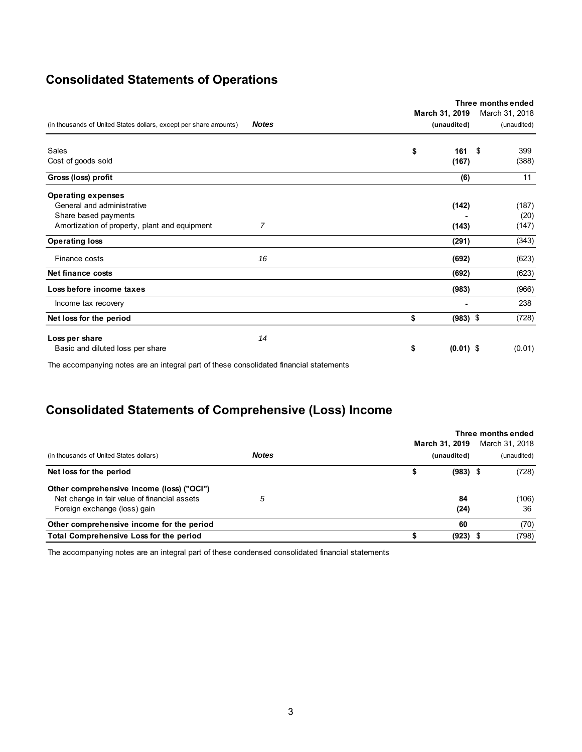# **Consolidated Statements of Operations**

|                                                                   |              | Three months ended |                |  |  |  |  |  |
|-------------------------------------------------------------------|--------------|--------------------|----------------|--|--|--|--|--|
|                                                                   |              | March 31, 2019     | March 31, 2018 |  |  |  |  |  |
| (in thousands of United States dollars, except per share amounts) | <b>Notes</b> | (unaudited)        | (unaudited)    |  |  |  |  |  |
| Sales                                                             |              | \$<br>161          | 399<br>- \$    |  |  |  |  |  |
| Cost of goods sold                                                |              | (167)              | (388)          |  |  |  |  |  |
| Gross (loss) profit                                               |              | (6)                | 11             |  |  |  |  |  |
| <b>Operating expenses</b>                                         |              |                    |                |  |  |  |  |  |
| General and administrative                                        |              | (142)              | (187)          |  |  |  |  |  |
| Share based payments                                              |              |                    | (20)           |  |  |  |  |  |
| Amortization of property, plant and equipment                     | 7            | (143)              | (147)          |  |  |  |  |  |
| <b>Operating loss</b>                                             |              | (291)              | (343)          |  |  |  |  |  |
| Finance costs                                                     | 16           | (692)              | (623)          |  |  |  |  |  |
| Net finance costs                                                 |              | (692)              | (623)          |  |  |  |  |  |
| Loss before income taxes                                          |              | (983)              | (966)          |  |  |  |  |  |
| Income tax recovery                                               |              |                    | 238            |  |  |  |  |  |
| Net loss for the period                                           |              | $(983)$ \$<br>\$   | (728)          |  |  |  |  |  |
| Loss per share                                                    | 14           |                    |                |  |  |  |  |  |
| Basic and diluted loss per share                                  |              | \$<br>$(0.01)$ \$  | (0.01)         |  |  |  |  |  |

The accompanying notes are an integral part of these consolidated financial statements

# **Consolidated Statements of Comprehensive (Loss) Income**

| (in thousands of United States dollars)                                                                                   | <b>Notes</b> | March 31, 2019<br>(unaudited) | Three months ended<br>March 31, 2018<br>(unaudited) |
|---------------------------------------------------------------------------------------------------------------------------|--------------|-------------------------------|-----------------------------------------------------|
| Net loss for the period                                                                                                   |              | $(983)$ \$                    | (728)                                               |
| Other comprehensive income (loss) ("OCI")<br>Net change in fair value of financial assets<br>Foreign exchange (loss) gain | 5            | 84<br>(24)                    | (106)<br>36                                         |
| Other comprehensive income for the period                                                                                 |              | 60                            | (70)                                                |
| <b>Total Comprehensive Loss for the period</b>                                                                            |              | (923)                         | (798)                                               |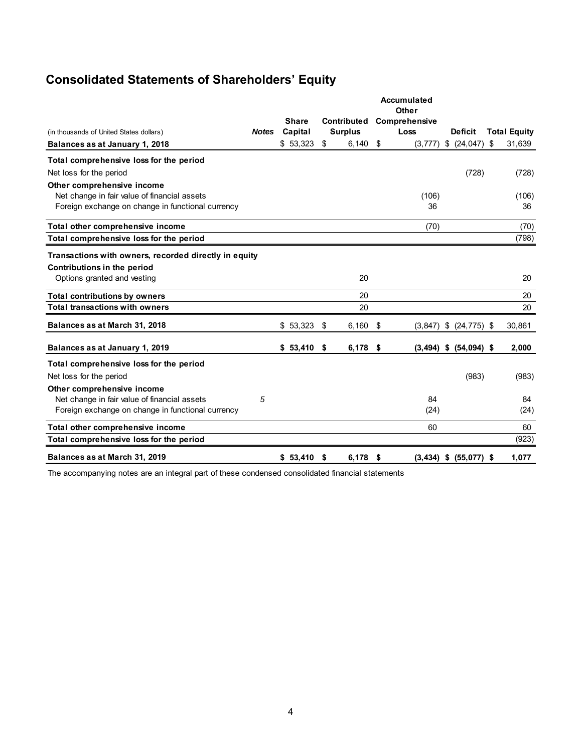# **Consolidated Statements of Shareholders' Equity**

|                                                       |              |              |      |                    |      | <b>Accumulated</b><br>Other |                            |     |                     |
|-------------------------------------------------------|--------------|--------------|------|--------------------|------|-----------------------------|----------------------------|-----|---------------------|
|                                                       |              | <b>Share</b> |      | <b>Contributed</b> |      | Comprehensive               |                            |     |                     |
| (in thousands of United States dollars)               | <b>Notes</b> | Capital      |      | <b>Surplus</b>     |      | Loss                        | <b>Deficit</b>             |     | <b>Total Equity</b> |
| Balances as at January 1, 2018                        |              | \$53,323     | \$   | 6,140              | \$   | $(3,777)$ \$                | (24, 047)                  | -\$ | 31,639              |
| Total comprehensive loss for the period               |              |              |      |                    |      |                             |                            |     |                     |
| Net loss for the period                               |              |              |      |                    |      |                             | (728)                      |     | (728)               |
| Other comprehensive income                            |              |              |      |                    |      |                             |                            |     |                     |
| Net change in fair value of financial assets          |              |              |      |                    |      | (106)                       |                            |     | (106)               |
| Foreign exchange on change in functional currency     |              |              |      |                    |      | 36                          |                            |     | 36                  |
| Total other comprehensive income                      |              |              |      |                    |      | (70)                        |                            |     | (70)                |
| Total comprehensive loss for the period               |              |              |      |                    |      |                             |                            |     | (798)               |
| Transactions with owners, recorded directly in equity |              |              |      |                    |      |                             |                            |     |                     |
| Contributions in the period                           |              |              |      |                    |      |                             |                            |     |                     |
|                                                       |              |              |      | 20                 |      |                             |                            |     | 20                  |
| Options granted and vesting                           |              |              |      |                    |      |                             |                            |     |                     |
| <b>Total contributions by owners</b>                  |              |              |      | 20                 |      |                             |                            |     | 20                  |
| <b>Total transactions with owners</b>                 |              |              |      | 20                 |      |                             |                            |     | 20                  |
| Balances as at March 31, 2018                         |              | \$53,323     | - \$ | 6,160              | - \$ |                             | $(3,847)$ \$ $(24,775)$ \$ |     | 30,861              |
| Balances as at January 1, 2019                        |              | \$53,410     | \$   | $6,178$ \$         |      |                             | $(3,494)$ \$ $(54,094)$ \$ |     | 2,000               |
| Total comprehensive loss for the period               |              |              |      |                    |      |                             |                            |     |                     |
| Net loss for the period                               |              |              |      |                    |      |                             | (983)                      |     | (983)               |
| Other comprehensive income                            |              |              |      |                    |      |                             |                            |     |                     |
| Net change in fair value of financial assets          | 5            |              |      |                    |      | 84                          |                            |     | 84                  |
| Foreign exchange on change in functional currency     |              |              |      |                    |      | (24)                        |                            |     | (24)                |
| Total other comprehensive income                      |              |              |      |                    |      | 60                          |                            |     | 60                  |
| Total comprehensive loss for the period               |              |              |      |                    |      |                             |                            |     | (923)               |
| Balances as at March 31, 2019                         |              | \$53.410     | \$   | 6,178              | - \$ | $(3,434)$ \$                | $(55,077)$ \$              |     | 1,077               |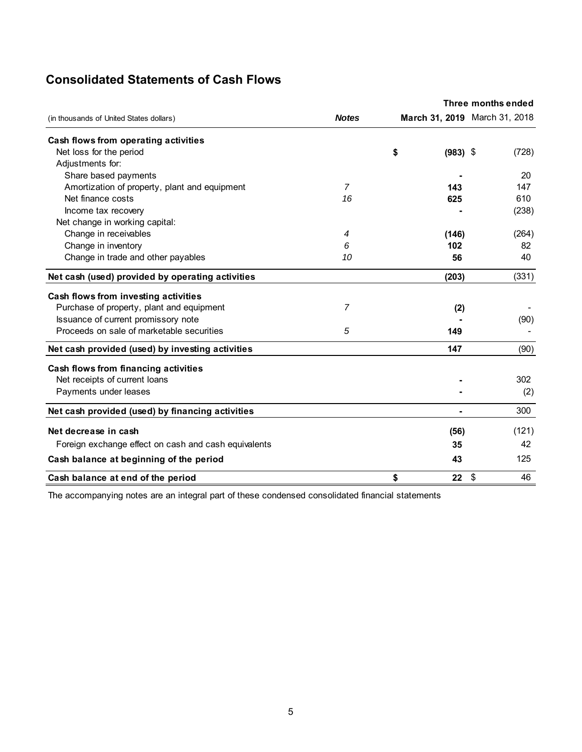# **Consolidated Statements of Cash Flows**

|                                                      |                |                               | Three months ended        |       |
|------------------------------------------------------|----------------|-------------------------------|---------------------------|-------|
| (in thousands of United States dollars)              | <b>Notes</b>   | March 31, 2019 March 31, 2018 |                           |       |
| Cash flows from operating activities                 |                |                               |                           |       |
| Net loss for the period                              |                | \$<br>$(983)$ \$              |                           | (728) |
| Adjustments for:                                     |                |                               |                           |       |
| Share based payments                                 |                |                               |                           | 20    |
| Amortization of property, plant and equipment        | $\overline{7}$ | 143                           |                           | 147   |
| Net finance costs                                    | 16             | 625                           |                           | 610   |
| Income tax recovery                                  |                |                               |                           | (238) |
| Net change in working capital:                       |                |                               |                           |       |
| Change in receivables                                | 4              | (146)                         |                           | (264) |
| Change in inventory                                  | 6              | 102                           |                           | 82    |
| Change in trade and other payables                   | 10             | 56                            |                           | 40    |
| Net cash (used) provided by operating activities     |                | (203)                         |                           | (331) |
| Cash flows from investing activities                 |                |                               |                           |       |
| Purchase of property, plant and equipment            | 7              | (2)                           |                           |       |
| Issuance of current promissory note                  |                |                               |                           | (90)  |
| Proceeds on sale of marketable securities            | 5              | 149                           |                           |       |
| Net cash provided (used) by investing activities     |                | 147                           |                           | (90)  |
| Cash flows from financing activities                 |                |                               |                           |       |
| Net receipts of current loans                        |                |                               |                           | 302   |
| Payments under leases                                |                |                               |                           | (2)   |
| Net cash provided (used) by financing activities     |                |                               |                           | 300   |
| Net decrease in cash                                 |                | (56)                          |                           | (121) |
| Foreign exchange effect on cash and cash equivalents |                | 35                            |                           | 42    |
| Cash balance at beginning of the period              |                | 43                            |                           | 125   |
| Cash balance at end of the period                    |                | \$<br>22                      | $\boldsymbol{\mathsf{S}}$ | 46    |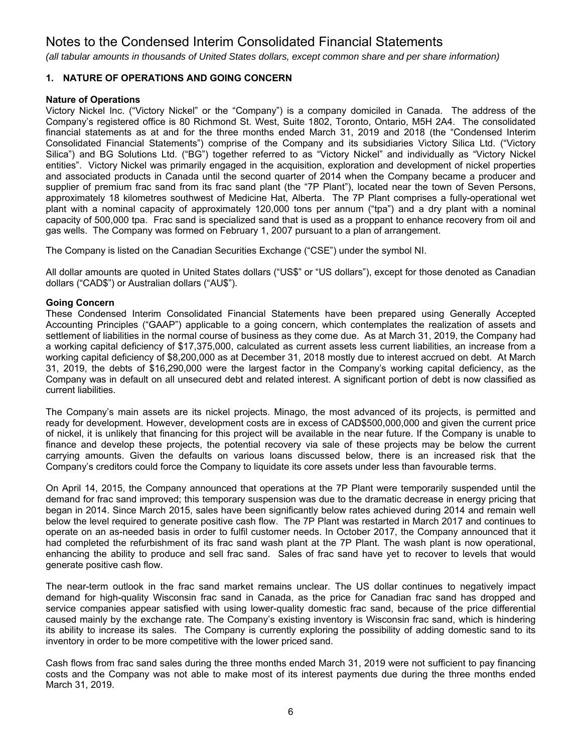*(all tabular amounts in thousands of United States dollars, except common share and per share information)*

## **1. NATURE OF OPERATIONS AND GOING CONCERN**

#### **Nature of Operations**

Victory Nickel Inc. ("Victory Nickel" or the "Company") is a company domiciled in Canada. The address of the Company's registered office is 80 Richmond St. West, Suite 1802, Toronto, Ontario, M5H 2A4. The consolidated financial statements as at and for the three months ended March 31, 2019 and 2018 (the "Condensed Interim Consolidated Financial Statements") comprise of the Company and its subsidiaries Victory Silica Ltd. ("Victory Silica") and BG Solutions Ltd. ("BG") together referred to as "Victory Nickel" and individually as "Victory Nickel entities". Victory Nickel was primarily engaged in the acquisition, exploration and development of nickel properties and associated products in Canada until the second quarter of 2014 when the Company became a producer and supplier of premium frac sand from its frac sand plant (the "7P Plant"), located near the town of Seven Persons, approximately 18 kilometres southwest of Medicine Hat, Alberta. The 7P Plant comprises a fully-operational wet plant with a nominal capacity of approximately 120,000 tons per annum ("tpa") and a dry plant with a nominal capacity of 500,000 tpa. Frac sand is specialized sand that is used as a proppant to enhance recovery from oil and gas wells. The Company was formed on February 1, 2007 pursuant to a plan of arrangement.

The Company is listed on the Canadian Securities Exchange ("CSE") under the symbol NI.

All dollar amounts are quoted in United States dollars ("US\$" or "US dollars"), except for those denoted as Canadian dollars ("CAD\$") or Australian dollars ("AU\$").

#### **Going Concern**

These Condensed Interim Consolidated Financial Statements have been prepared using Generally Accepted Accounting Principles ("GAAP") applicable to a going concern, which contemplates the realization of assets and settlement of liabilities in the normal course of business as they come due. As at March 31, 2019, the Company had a working capital deficiency of \$17,375,000, calculated as current assets less current liabilities, an increase from a working capital deficiency of \$8,200,000 as at December 31, 2018 mostly due to interest accrued on debt. At March 31, 2019, the debts of \$16,290,000 were the largest factor in the Company's working capital deficiency, as the Company was in default on all unsecured debt and related interest. A significant portion of debt is now classified as current liabilities.

The Company's main assets are its nickel projects. Minago, the most advanced of its projects, is permitted and ready for development. However, development costs are in excess of CAD\$500,000,000 and given the current price of nickel, it is unlikely that financing for this project will be available in the near future. If the Company is unable to finance and develop these projects, the potential recovery via sale of these projects may be below the current carrying amounts. Given the defaults on various loans discussed below, there is an increased risk that the Company's creditors could force the Company to liquidate its core assets under less than favourable terms.

On April 14, 2015, the Company announced that operations at the 7P Plant were temporarily suspended until the demand for frac sand improved; this temporary suspension was due to the dramatic decrease in energy pricing that began in 2014. Since March 2015, sales have been significantly below rates achieved during 2014 and remain well below the level required to generate positive cash flow. The 7P Plant was restarted in March 2017 and continues to operate on an as-needed basis in order to fulfil customer needs. In October 2017, the Company announced that it had completed the refurbishment of its frac sand wash plant at the 7P Plant. The wash plant is now operational, enhancing the ability to produce and sell frac sand. Sales of frac sand have yet to recover to levels that would generate positive cash flow.

The near-term outlook in the frac sand market remains unclear. The US dollar continues to negatively impact demand for high-quality Wisconsin frac sand in Canada, as the price for Canadian frac sand has dropped and service companies appear satisfied with using lower-quality domestic frac sand, because of the price differential caused mainly by the exchange rate. The Company's existing inventory is Wisconsin frac sand, which is hindering its ability to increase its sales. The Company is currently exploring the possibility of adding domestic sand to its inventory in order to be more competitive with the lower priced sand.

Cash flows from frac sand sales during the three months ended March 31, 2019 were not sufficient to pay financing costs and the Company was not able to make most of its interest payments due during the three months ended March 31, 2019.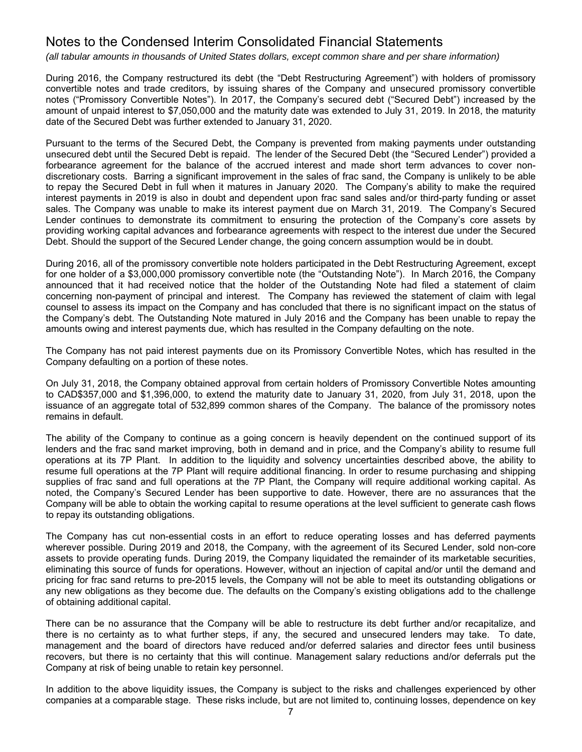*(all tabular amounts in thousands of United States dollars, except common share and per share information)*

During 2016, the Company restructured its debt (the "Debt Restructuring Agreement") with holders of promissory convertible notes and trade creditors, by issuing shares of the Company and unsecured promissory convertible notes ("Promissory Convertible Notes"). In 2017, the Company's secured debt ("Secured Debt") increased by the amount of unpaid interest to \$7,050,000 and the maturity date was extended to July 31, 2019. In 2018, the maturity date of the Secured Debt was further extended to January 31, 2020.

Pursuant to the terms of the Secured Debt, the Company is prevented from making payments under outstanding unsecured debt until the Secured Debt is repaid. The lender of the Secured Debt (the "Secured Lender") provided a forbearance agreement for the balance of the accrued interest and made short term advances to cover nondiscretionary costs. Barring a significant improvement in the sales of frac sand, the Company is unlikely to be able to repay the Secured Debt in full when it matures in January 2020. The Company's ability to make the required interest payments in 2019 is also in doubt and dependent upon frac sand sales and/or third-party funding or asset sales. The Company was unable to make its interest payment due on March 31, 2019. The Company's Secured Lender continues to demonstrate its commitment to ensuring the protection of the Company's core assets by providing working capital advances and forbearance agreements with respect to the interest due under the Secured Debt. Should the support of the Secured Lender change, the going concern assumption would be in doubt.

During 2016, all of the promissory convertible note holders participated in the Debt Restructuring Agreement, except for one holder of a \$3,000,000 promissory convertible note (the "Outstanding Note"). In March 2016, the Company announced that it had received notice that the holder of the Outstanding Note had filed a statement of claim concerning non-payment of principal and interest. The Company has reviewed the statement of claim with legal counsel to assess its impact on the Company and has concluded that there is no significant impact on the status of the Company's debt. The Outstanding Note matured in July 2016 and the Company has been unable to repay the amounts owing and interest payments due, which has resulted in the Company defaulting on the note.

The Company has not paid interest payments due on its Promissory Convertible Notes, which has resulted in the Company defaulting on a portion of these notes.

On July 31, 2018, the Company obtained approval from certain holders of Promissory Convertible Notes amounting to CAD\$357,000 and \$1,396,000, to extend the maturity date to January 31, 2020, from July 31, 2018, upon the issuance of an aggregate total of 532,899 common shares of the Company. The balance of the promissory notes remains in default.

The ability of the Company to continue as a going concern is heavily dependent on the continued support of its lenders and the frac sand market improving, both in demand and in price, and the Company's ability to resume full operations at its 7P Plant. In addition to the liquidity and solvency uncertainties described above, the ability to resume full operations at the 7P Plant will require additional financing. In order to resume purchasing and shipping supplies of frac sand and full operations at the 7P Plant, the Company will require additional working capital. As noted, the Company's Secured Lender has been supportive to date. However, there are no assurances that the Company will be able to obtain the working capital to resume operations at the level sufficient to generate cash flows to repay its outstanding obligations.

The Company has cut non-essential costs in an effort to reduce operating losses and has deferred payments wherever possible. During 2019 and 2018, the Company, with the agreement of its Secured Lender, sold non-core assets to provide operating funds. During 2019, the Company liquidated the remainder of its marketable securities, eliminating this source of funds for operations. However, without an injection of capital and/or until the demand and pricing for frac sand returns to pre-2015 levels, the Company will not be able to meet its outstanding obligations or any new obligations as they become due. The defaults on the Company's existing obligations add to the challenge of obtaining additional capital.

There can be no assurance that the Company will be able to restructure its debt further and/or recapitalize, and there is no certainty as to what further steps, if any, the secured and unsecured lenders may take. To date, management and the board of directors have reduced and/or deferred salaries and director fees until business recovers, but there is no certainty that this will continue. Management salary reductions and/or deferrals put the Company at risk of being unable to retain key personnel.

In addition to the above liquidity issues, the Company is subject to the risks and challenges experienced by other companies at a comparable stage. These risks include, but are not limited to, continuing losses, dependence on key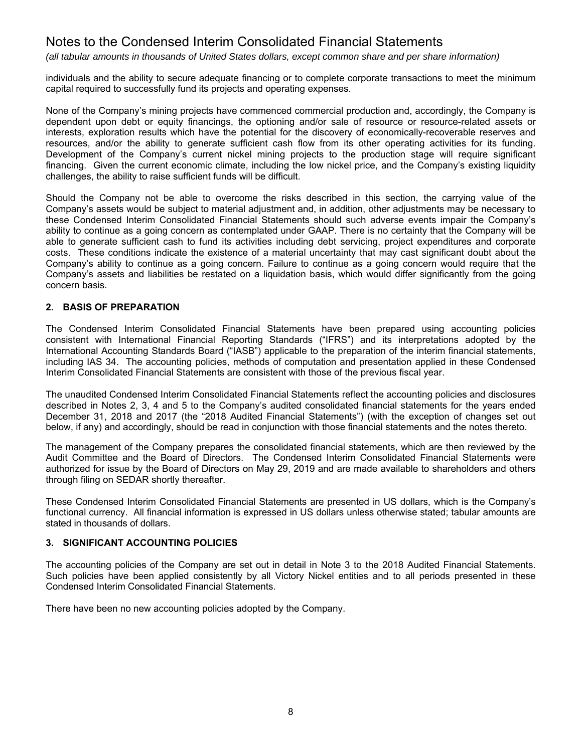*(all tabular amounts in thousands of United States dollars, except common share and per share information)*

individuals and the ability to secure adequate financing or to complete corporate transactions to meet the minimum capital required to successfully fund its projects and operating expenses.

None of the Company's mining projects have commenced commercial production and, accordingly, the Company is dependent upon debt or equity financings, the optioning and/or sale of resource or resource-related assets or interests, exploration results which have the potential for the discovery of economically-recoverable reserves and resources, and/or the ability to generate sufficient cash flow from its other operating activities for its funding. Development of the Company's current nickel mining projects to the production stage will require significant financing. Given the current economic climate, including the low nickel price, and the Company's existing liquidity challenges, the ability to raise sufficient funds will be difficult.

Should the Company not be able to overcome the risks described in this section, the carrying value of the Company's assets would be subject to material adjustment and, in addition, other adjustments may be necessary to these Condensed Interim Consolidated Financial Statements should such adverse events impair the Company's ability to continue as a going concern as contemplated under GAAP. There is no certainty that the Company will be able to generate sufficient cash to fund its activities including debt servicing, project expenditures and corporate costs. These conditions indicate the existence of a material uncertainty that may cast significant doubt about the Company's ability to continue as a going concern. Failure to continue as a going concern would require that the Company's assets and liabilities be restated on a liquidation basis, which would differ significantly from the going concern basis.

## **2. BASIS OF PREPARATION**

The Condensed Interim Consolidated Financial Statements have been prepared using accounting policies consistent with International Financial Reporting Standards ("IFRS") and its interpretations adopted by the International Accounting Standards Board ("IASB") applicable to the preparation of the interim financial statements, including IAS 34. The accounting policies, methods of computation and presentation applied in these Condensed Interim Consolidated Financial Statements are consistent with those of the previous fiscal year.

The unaudited Condensed Interim Consolidated Financial Statements reflect the accounting policies and disclosures described in Notes 2, 3, 4 and 5 to the Company's audited consolidated financial statements for the years ended December 31, 2018 and 2017 (the "2018 Audited Financial Statements") (with the exception of changes set out below, if any) and accordingly, should be read in conjunction with those financial statements and the notes thereto.

The management of the Company prepares the consolidated financial statements, which are then reviewed by the Audit Committee and the Board of Directors. The Condensed Interim Consolidated Financial Statements were authorized for issue by the Board of Directors on May 29, 2019 and are made available to shareholders and others through filing on SEDAR shortly thereafter.

These Condensed Interim Consolidated Financial Statements are presented in US dollars, which is the Company's functional currency. All financial information is expressed in US dollars unless otherwise stated; tabular amounts are stated in thousands of dollars.

#### **3. SIGNIFICANT ACCOUNTING POLICIES**

The accounting policies of the Company are set out in detail in Note 3 to the 2018 Audited Financial Statements. Such policies have been applied consistently by all Victory Nickel entities and to all periods presented in these Condensed Interim Consolidated Financial Statements.

There have been no new accounting policies adopted by the Company.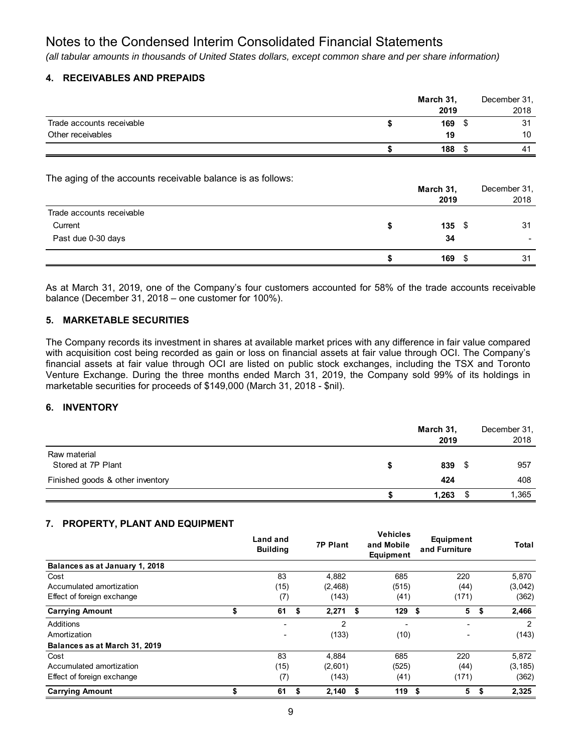*(all tabular amounts in thousands of United States dollars, except common share and per share information)*

### **4. RECEIVABLES AND PREPAIDS**

|                           | March 31, | December 31, |
|---------------------------|-----------|--------------|
|                           | 2019      | 2018         |
| Trade accounts receivable | 169       | 31           |
| Other receivables         | 19        | 10           |
|                           | 188       | 41           |

The aging of the accounts receivable balance is as follows:

|                           | March 31,<br>2019 | December 31,<br>2018 |
|---------------------------|-------------------|----------------------|
| Trade accounts receivable |                   |                      |
| Current                   | $135 \quad $$     | 31                   |
| Past due 0-30 days        | 34                |                      |
|                           | 169               | 31                   |

As at March 31, 2019, one of the Company's four customers accounted for 58% of the trade accounts receivable balance (December 31, 2018 – one customer for 100%).

### **5. MARKETABLE SECURITIES**

The Company records its investment in shares at available market prices with any difference in fair value compared with acquisition cost being recorded as gain or loss on financial assets at fair value through OCI. The Company's financial assets at fair value through OCI are listed on public stock exchanges, including the TSX and Toronto Venture Exchange. During the three months ended March 31, 2019, the Company sold 99% of its holdings in marketable securities for proceeds of \$149,000 (March 31, 2018 - \$nil).

## **6. INVENTORY**

|                                    | March 31,<br>2019 | December 31,<br>2018 |
|------------------------------------|-------------------|----------------------|
| Raw material<br>Stored at 7P Plant | 839 \$            | 957                  |
| Finished goods & other inventory   | 424               | 408                  |
|                                    | 1,263             | 1,365                |

## **7. PROPERTY, PLANT AND EQUIPMENT**

|                                | Land and<br><b>Building</b> |    | <b>7P Plant</b> | <b>Vehicles</b><br>and Mobile<br>Equipment |      | Equipment<br>and Furniture |    | Total          |
|--------------------------------|-----------------------------|----|-----------------|--------------------------------------------|------|----------------------------|----|----------------|
| Balances as at January 1, 2018 |                             |    |                 |                                            |      |                            |    |                |
| Cost                           | 83                          |    | 4,882           | 685                                        |      | 220                        |    | 5,870          |
| Accumulated amortization       | (15)                        |    | (2, 468)        | (515)                                      |      | (44)                       |    | (3,042)        |
| Effect of foreign exchange     | (7)                         |    | (143)           | (41)                                       |      | (171)                      |    | (362)          |
| <b>Carrying Amount</b>         | \$<br>61                    | S. | 2,271           | \$<br>129                                  | -\$  | 5                          | \$ | 2,466          |
| Additions                      |                             |    | 2               |                                            |      |                            |    | $\overline{2}$ |
| Amortization                   | -                           |    | (133)           | (10)                                       |      | ۰                          |    | (143)          |
| Balances as at March 31, 2019  |                             |    |                 |                                            |      |                            |    |                |
| Cost                           | 83                          |    | 4,884           | 685                                        |      | 220                        |    | 5.872          |
| Accumulated amortization       | (15)                        |    | (2,601)         | (525)                                      |      | (44)                       |    | (3, 185)       |
| Effect of foreign exchange     | (7)                         |    | (143)           | (41)                                       |      | (171)                      |    | (362)          |
| <b>Carrying Amount</b>         | \$<br>61                    | S. | 2,140           | \$<br>119                                  | - \$ | 5                          | S  | 2,325          |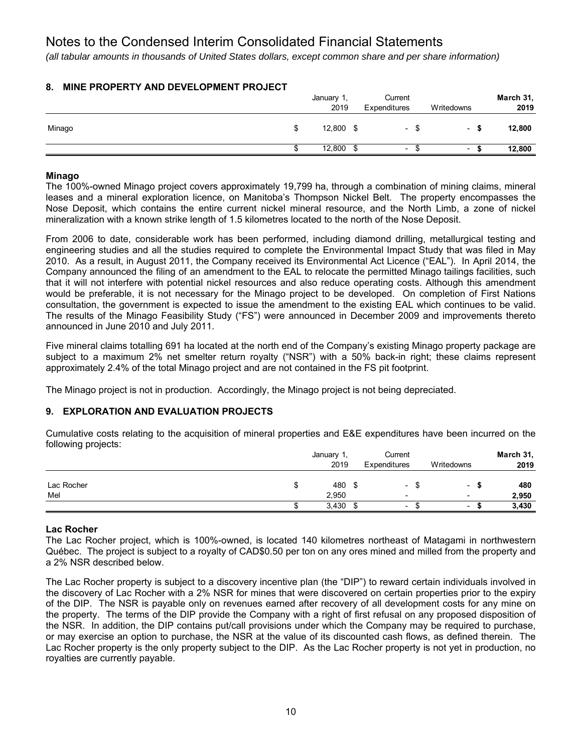*(all tabular amounts in thousands of United States dollars, except common share and per share information)*

## **8. MINE PROPERTY AND DEVELOPMENT PROJECT**

|        |   | January 1,<br>2019 |   | Current<br>Expenditures  | Writedowns               | March 31,<br>2019 |
|--------|---|--------------------|---|--------------------------|--------------------------|-------------------|
| Minago | S | 12,800             |   | $\sim$                   | ۰.                       | 12,800            |
|        |   | 12,800             | S | $\overline{\phantom{a}}$ | $\overline{\phantom{a}}$ | 12,800            |

#### **Minago**

The 100%-owned Minago project covers approximately 19,799 ha, through a combination of mining claims, mineral leases and a mineral exploration licence, on Manitoba's Thompson Nickel Belt. The property encompasses the Nose Deposit, which contains the entire current nickel mineral resource, and the North Limb, a zone of nickel mineralization with a known strike length of 1.5 kilometres located to the north of the Nose Deposit.

From 2006 to date, considerable work has been performed, including diamond drilling, metallurgical testing and engineering studies and all the studies required to complete the Environmental Impact Study that was filed in May 2010. As a result, in August 2011, the Company received its Environmental Act Licence ("EAL"). In April 2014, the Company announced the filing of an amendment to the EAL to relocate the permitted Minago tailings facilities, such that it will not interfere with potential nickel resources and also reduce operating costs. Although this amendment would be preferable, it is not necessary for the Minago project to be developed. On completion of First Nations consultation, the government is expected to issue the amendment to the existing EAL which continues to be valid. The results of the Minago Feasibility Study ("FS") were announced in December 2009 and improvements thereto announced in June 2010 and July 2011.

Five mineral claims totalling 691 ha located at the north end of the Company's existing Minago property package are subject to a maximum 2% net smelter return royalty ("NSR") with a 50% back-in right; these claims represent approximately 2.4% of the total Minago project and are not contained in the FS pit footprint.

The Minago project is not in production. Accordingly, the Minago project is not being depreciated.

## **9. EXPLORATION AND EVALUATION PROJECTS**

Cumulative costs relating to the acquisition of mineral properties and E&E expenditures have been incurred on the following projects:

| . .               |   | January 1,<br>2019 |   | Current<br>Expenditures  | Writedowns                                                   | March 31,<br>2019 |
|-------------------|---|--------------------|---|--------------------------|--------------------------------------------------------------|-------------------|
| Lac Rocher<br>Mel | S | 480<br>2,950       |   | $\sim$<br>-              | $\overline{\phantom{a}}$<br>- 11<br>$\overline{\phantom{0}}$ | 480<br>2,950      |
|                   |   | 3,430              | ന | $\overline{\phantom{a}}$ | $\overline{\phantom{0}}$                                     | 3,430             |

## **Lac Rocher**

The Lac Rocher project, which is 100%-owned, is located 140 kilometres northeast of Matagami in northwestern Québec. The project is subject to a royalty of CAD\$0.50 per ton on any ores mined and milled from the property and a 2% NSR described below.

The Lac Rocher property is subject to a discovery incentive plan (the "DIP") to reward certain individuals involved in the discovery of Lac Rocher with a 2% NSR for mines that were discovered on certain properties prior to the expiry of the DIP. The NSR is payable only on revenues earned after recovery of all development costs for any mine on the property. The terms of the DIP provide the Company with a right of first refusal on any proposed disposition of the NSR. In addition, the DIP contains put/call provisions under which the Company may be required to purchase, or may exercise an option to purchase, the NSR at the value of its discounted cash flows, as defined therein. The Lac Rocher property is the only property subject to the DIP. As the Lac Rocher property is not yet in production, no royalties are currently payable.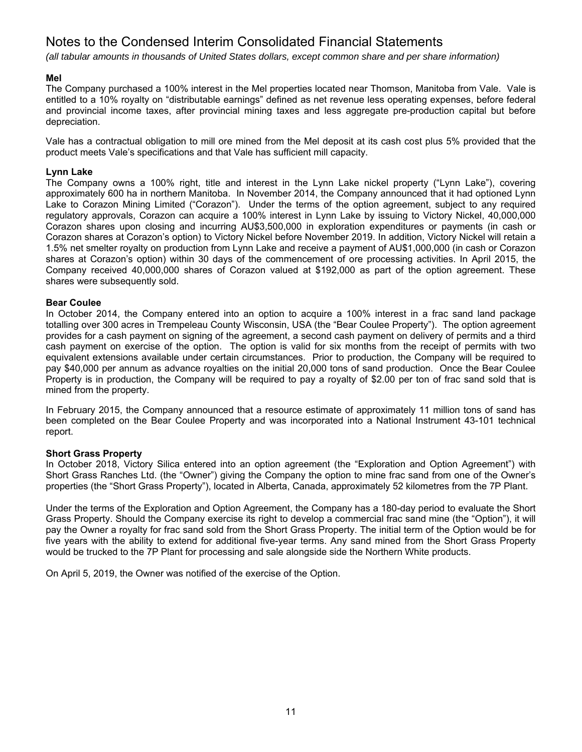*(all tabular amounts in thousands of United States dollars, except common share and per share information)*

### **Mel**

The Company purchased a 100% interest in the Mel properties located near Thomson, Manitoba from Vale. Vale is entitled to a 10% royalty on "distributable earnings" defined as net revenue less operating expenses, before federal and provincial income taxes, after provincial mining taxes and less aggregate pre-production capital but before depreciation.

Vale has a contractual obligation to mill ore mined from the Mel deposit at its cash cost plus 5% provided that the product meets Vale's specifications and that Vale has sufficient mill capacity.

#### **Lynn Lake**

The Company owns a 100% right, title and interest in the Lynn Lake nickel property ("Lynn Lake"), covering approximately 600 ha in northern Manitoba. In November 2014, the Company announced that it had optioned Lynn Lake to Corazon Mining Limited ("Corazon"). Under the terms of the option agreement, subject to any required regulatory approvals, Corazon can acquire a 100% interest in Lynn Lake by issuing to Victory Nickel, 40,000,000 Corazon shares upon closing and incurring AU\$3,500,000 in exploration expenditures or payments (in cash or Corazon shares at Corazon's option) to Victory Nickel before November 2019. In addition, Victory Nickel will retain a 1.5% net smelter royalty on production from Lynn Lake and receive a payment of AU\$1,000,000 (in cash or Corazon shares at Corazon's option) within 30 days of the commencement of ore processing activities. In April 2015, the Company received 40,000,000 shares of Corazon valued at \$192,000 as part of the option agreement. These shares were subsequently sold.

#### **Bear Coulee**

In October 2014, the Company entered into an option to acquire a 100% interest in a frac sand land package totalling over 300 acres in Trempeleau County Wisconsin, USA (the "Bear Coulee Property"). The option agreement provides for a cash payment on signing of the agreement, a second cash payment on delivery of permits and a third cash payment on exercise of the option. The option is valid for six months from the receipt of permits with two equivalent extensions available under certain circumstances. Prior to production, the Company will be required to pay \$40,000 per annum as advance royalties on the initial 20,000 tons of sand production. Once the Bear Coulee Property is in production, the Company will be required to pay a royalty of \$2.00 per ton of frac sand sold that is mined from the property.

In February 2015, the Company announced that a resource estimate of approximately 11 million tons of sand has been completed on the Bear Coulee Property and was incorporated into a National Instrument 43-101 technical report.

#### **Short Grass Property**

In October 2018, Victory Silica entered into an option agreement (the "Exploration and Option Agreement") with Short Grass Ranches Ltd. (the "Owner") giving the Company the option to mine frac sand from one of the Owner's properties (the "Short Grass Property"), located in Alberta, Canada, approximately 52 kilometres from the 7P Plant.

Under the terms of the Exploration and Option Agreement, the Company has a 180-day period to evaluate the Short Grass Property. Should the Company exercise its right to develop a commercial frac sand mine (the "Option"), it will pay the Owner a royalty for frac sand sold from the Short Grass Property. The initial term of the Option would be for five years with the ability to extend for additional five-year terms. Any sand mined from the Short Grass Property would be trucked to the 7P Plant for processing and sale alongside side the Northern White products.

On April 5, 2019, the Owner was notified of the exercise of the Option.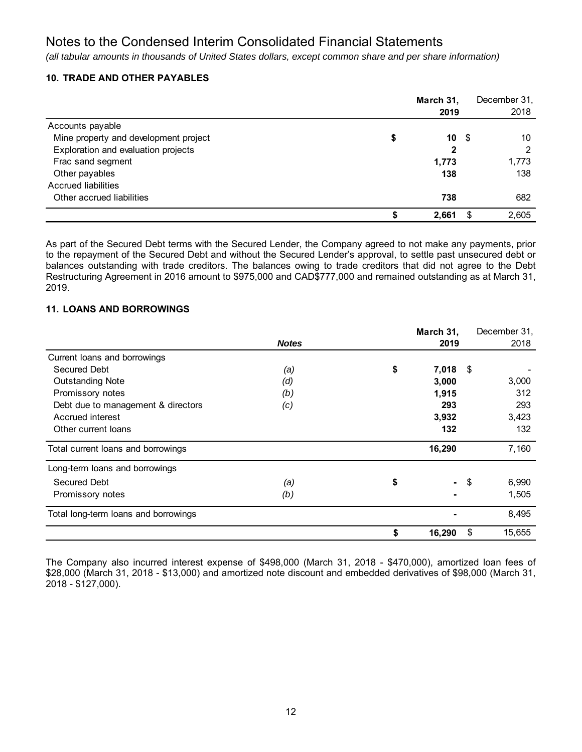*(all tabular amounts in thousands of United States dollars, except common share and per share information)*

## **10. TRADE AND OTHER PAYABLES**

|                                       |   | March 31, |      | December 31, |
|---------------------------------------|---|-----------|------|--------------|
|                                       |   | 2019      |      | 2018         |
| Accounts payable                      |   |           |      |              |
| Mine property and development project | S | 10        | - \$ | 10           |
| Exploration and evaluation projects   |   | 2         |      | 2            |
| Frac sand segment                     |   | 1,773     |      | 1,773        |
| Other payables                        |   | 138       |      | 138          |
| <b>Accrued liabilities</b>            |   |           |      |              |
| Other accrued liabilities             |   | 738       |      | 682          |
|                                       |   | 2.661     |      | 2.605        |

As part of the Secured Debt terms with the Secured Lender, the Company agreed to not make any payments, prior to the repayment of the Secured Debt and without the Secured Lender's approval, to settle past unsecured debt or balances outstanding with trade creditors. The balances owing to trade creditors that did not agree to the Debt Restructuring Agreement in 2016 amount to \$975,000 and CAD\$777,000 and remained outstanding as at March 31, 2019.

## **11. LOANS AND BORROWINGS**

|                                      |              | March 31,    |      | December 31, |
|--------------------------------------|--------------|--------------|------|--------------|
|                                      | <b>Notes</b> | 2019         |      | 2018         |
| Current loans and borrowings         |              |              |      |              |
| <b>Secured Debt</b>                  | (a)          | \$<br>7,018  | - \$ |              |
| <b>Outstanding Note</b>              | (d)          | 3,000        |      | 3,000        |
| Promissory notes                     | (b)          | 1,915        |      | 312          |
| Debt due to management & directors   | (c)          | 293          |      | 293          |
| Accrued interest                     |              | 3,932        |      | 3,423        |
| Other current loans                  |              | 132          |      | 132          |
| Total current loans and borrowings   |              | 16,290       |      | 7,160        |
| Long-term loans and borrowings       |              |              |      |              |
| <b>Secured Debt</b>                  | (a)          | \$<br>$\sim$ | \$   | 6,990        |
| Promissory notes                     | (b)          |              |      | 1,505        |
| Total long-term loans and borrowings |              |              |      | 8,495        |
|                                      |              | 16,290       | S    | 15,655       |

The Company also incurred interest expense of \$498,000 (March 31, 2018 - \$470,000), amortized loan fees of \$28,000 (March 31, 2018 - \$13,000) and amortized note discount and embedded derivatives of \$98,000 (March 31, 2018 - \$127,000).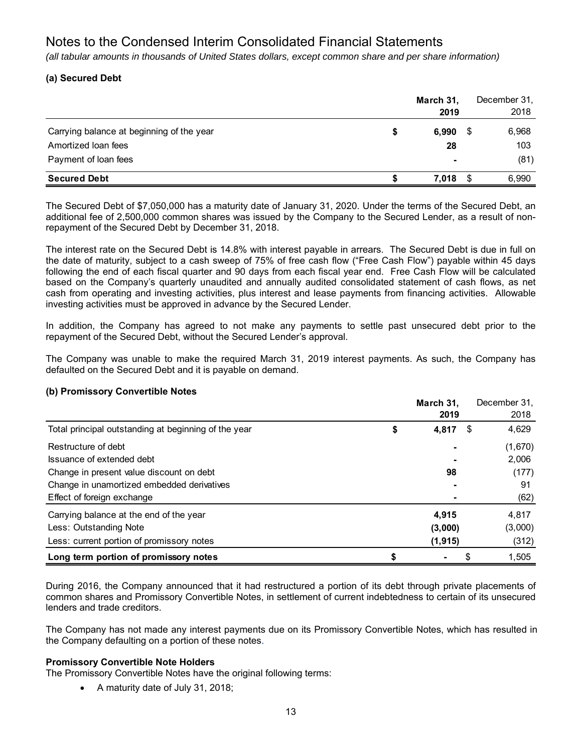*(all tabular amounts in thousands of United States dollars, except common share and per share information)*

## **(a) Secured Debt**

|                                           | March 31,<br>2019 |     | December 31,<br>2018 |
|-------------------------------------------|-------------------|-----|----------------------|
| Carrying balance at beginning of the year | 6,990             | - 5 | 6,968                |
| Amortized loan fees                       | 28                |     | 103                  |
| Payment of loan fees                      | $\blacksquare$    |     | (81)                 |
| <b>Secured Debt</b>                       | 7.018             |     | 6,990                |

The Secured Debt of \$7,050,000 has a maturity date of January 31, 2020. Under the terms of the Secured Debt, an additional fee of 2,500,000 common shares was issued by the Company to the Secured Lender, as a result of nonrepayment of the Secured Debt by December 31, 2018.

The interest rate on the Secured Debt is 14.8% with interest payable in arrears. The Secured Debt is due in full on the date of maturity, subject to a cash sweep of 75% of free cash flow ("Free Cash Flow") payable within 45 days following the end of each fiscal quarter and 90 days from each fiscal year end. Free Cash Flow will be calculated based on the Company's quarterly unaudited and annually audited consolidated statement of cash flows, as net cash from operating and investing activities, plus interest and lease payments from financing activities. Allowable investing activities must be approved in advance by the Secured Lender.

In addition, the Company has agreed to not make any payments to settle past unsecured debt prior to the repayment of the Secured Debt, without the Secured Lender's approval.

The Company was unable to make the required March 31, 2019 interest payments. As such, the Company has defaulted on the Secured Debt and it is payable on demand.

## **(b) Promissory Convertible Notes**

|                                                      | March 31.   |    | December 31, |
|------------------------------------------------------|-------------|----|--------------|
|                                                      | 2019        |    | 2018         |
| Total principal outstanding at beginning of the year | \$<br>4,817 | S  | 4,629        |
| Restructure of debt                                  |             |    | (1,670)      |
| Issuance of extended debt                            |             |    | 2,006        |
| Change in present value discount on debt             | 98          |    | (177)        |
| Change in unamortized embedded derivatives           |             |    | 91           |
| Effect of foreign exchange                           |             |    | (62)         |
| Carrying balance at the end of the year              | 4.915       |    | 4,817        |
| Less: Outstanding Note                               | (3,000)     |    | (3,000)      |
| Less: current portion of promissory notes            | (1, 915)    |    | (312)        |
| Long term portion of promissory notes                |             | \$ | 1,505        |

During 2016, the Company announced that it had restructured a portion of its debt through private placements of common shares and Promissory Convertible Notes, in settlement of current indebtedness to certain of its unsecured lenders and trade creditors.

The Company has not made any interest payments due on its Promissory Convertible Notes, which has resulted in the Company defaulting on a portion of these notes.

#### **Promissory Convertible Note Holders**

The Promissory Convertible Notes have the original following terms:

A maturity date of July 31, 2018;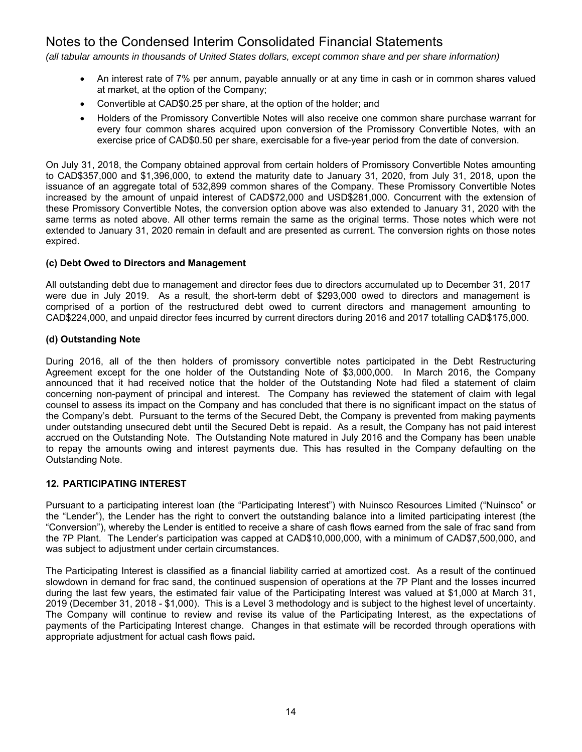*(all tabular amounts in thousands of United States dollars, except common share and per share information)*

- An interest rate of 7% per annum, payable annually or at any time in cash or in common shares valued at market, at the option of the Company;
- Convertible at CAD\$0.25 per share, at the option of the holder; and
- Holders of the Promissory Convertible Notes will also receive one common share purchase warrant for every four common shares acquired upon conversion of the Promissory Convertible Notes, with an exercise price of CAD\$0.50 per share, exercisable for a five-year period from the date of conversion.

On July 31, 2018, the Company obtained approval from certain holders of Promissory Convertible Notes amounting to CAD\$357,000 and \$1,396,000, to extend the maturity date to January 31, 2020, from July 31, 2018, upon the issuance of an aggregate total of 532,899 common shares of the Company. These Promissory Convertible Notes increased by the amount of unpaid interest of CAD\$72,000 and USD\$281,000. Concurrent with the extension of these Promissory Convertible Notes, the conversion option above was also extended to January 31, 2020 with the same terms as noted above. All other terms remain the same as the original terms. Those notes which were not extended to January 31, 2020 remain in default and are presented as current. The conversion rights on those notes expired.

#### **(c) Debt Owed to Directors and Management**

All outstanding debt due to management and director fees due to directors accumulated up to December 31, 2017 were due in July 2019. As a result, the short-term debt of \$293,000 owed to directors and management is comprised of a portion of the restructured debt owed to current directors and management amounting to CAD\$224,000, and unpaid director fees incurred by current directors during 2016 and 2017 totalling CAD\$175,000.

#### **(d) Outstanding Note**

During 2016, all of the then holders of promissory convertible notes participated in the Debt Restructuring Agreement except for the one holder of the Outstanding Note of \$3,000,000. In March 2016, the Company announced that it had received notice that the holder of the Outstanding Note had filed a statement of claim concerning non-payment of principal and interest. The Company has reviewed the statement of claim with legal counsel to assess its impact on the Company and has concluded that there is no significant impact on the status of the Company's debt. Pursuant to the terms of the Secured Debt, the Company is prevented from making payments under outstanding unsecured debt until the Secured Debt is repaid. As a result, the Company has not paid interest accrued on the Outstanding Note. The Outstanding Note matured in July 2016 and the Company has been unable to repay the amounts owing and interest payments due. This has resulted in the Company defaulting on the Outstanding Note.

## **12. PARTICIPATING INTEREST**

Pursuant to a participating interest loan (the "Participating Interest") with Nuinsco Resources Limited ("Nuinsco" or the "Lender"), the Lender has the right to convert the outstanding balance into a limited participating interest (the "Conversion"), whereby the Lender is entitled to receive a share of cash flows earned from the sale of frac sand from the 7P Plant. The Lender's participation was capped at CAD\$10,000,000, with a minimum of CAD\$7,500,000, and was subject to adjustment under certain circumstances.

The Participating Interest is classified as a financial liability carried at amortized cost. As a result of the continued slowdown in demand for frac sand, the continued suspension of operations at the 7P Plant and the losses incurred during the last few years, the estimated fair value of the Participating Interest was valued at \$1,000 at March 31, 2019 (December 31, 2018 - \$1,000). This is a Level 3 methodology and is subject to the highest level of uncertainty. The Company will continue to review and revise its value of the Participating Interest, as the expectations of payments of the Participating Interest change. Changes in that estimate will be recorded through operations with appropriate adjustment for actual cash flows paid**.**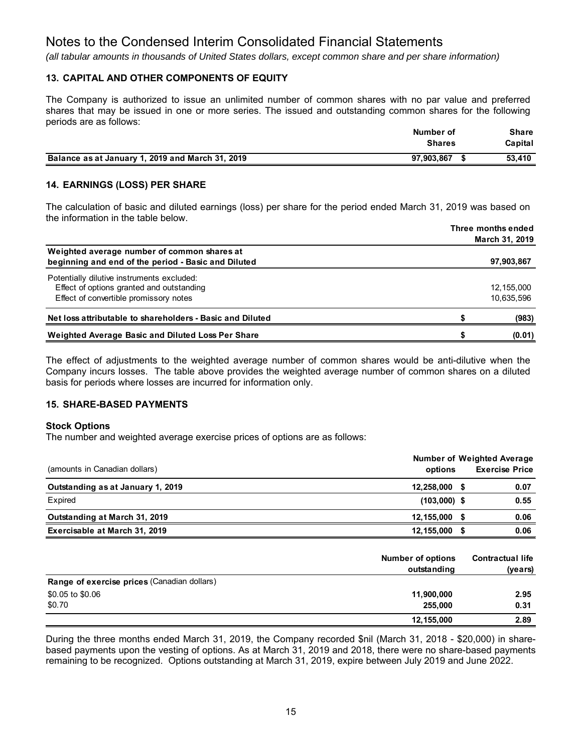*(all tabular amounts in thousands of United States dollars, except common share and per share information)*

## **13. CAPITAL AND OTHER COMPONENTS OF EQUITY**

The Company is authorized to issue an unlimited number of common shares with no par value and preferred shares that may be issued in one or more series. The issued and outstanding common shares for the following periods are as follows:

| Number of<br><b>Shares</b>                                     | Share<br>Capital |
|----------------------------------------------------------------|------------------|
| 97,903,867<br>Balance as at January 1, 2019 and March 31, 2019 | 53.410           |

### **14. EARNINGS (LOSS) PER SHARE**

The calculation of basic and diluted earnings (loss) per share for the period ended March 31, 2019 was based on the information in the table below.

|                                                                                                                                   | Three months ended<br>March 31, 2019 |
|-----------------------------------------------------------------------------------------------------------------------------------|--------------------------------------|
| Weighted average number of common shares at<br>beginning and end of the period - Basic and Diluted                                | 97,903,867                           |
| Potentially dilutive instruments excluded:<br>Effect of options granted and outstanding<br>Effect of convertible promissory notes | 12,155,000<br>10,635,596             |
| Net loss attributable to shareholders - Basic and Diluted                                                                         | (983)                                |
| Weighted Average Basic and Diluted Loss Per Share                                                                                 | (0.01)                               |

The effect of adjustments to the weighted average number of common shares would be anti-dilutive when the Company incurs losses. The table above provides the weighted average number of common shares on a diluted basis for periods where losses are incurred for information only.

#### **15. SHARE-BASED PAYMENTS**

#### **Stock Options**

The number and weighted average exercise prices of options are as follows:

| (amounts in Canadian dollars)     | options            | <b>Number of Weighted Average</b><br><b>Exercise Price</b> |
|-----------------------------------|--------------------|------------------------------------------------------------|
| Outstanding as at January 1, 2019 | 12,258,000 \$      | 0.07                                                       |
| Expired                           | $(103,000)$ \$     | 0.55                                                       |
| Outstanding at March 31, 2019     | 12,155,000<br>- \$ | 0.06                                                       |
| Exercisable at March 31, 2019     | 12,155,000<br>- S  | 0.06                                                       |
|                                   |                    |                                                            |

|                                                    | <b>Number of options</b><br>outstanding | <b>Contractual life</b><br>(years) |
|----------------------------------------------------|-----------------------------------------|------------------------------------|
| <b>Range of exercise prices (Canadian dollars)</b> |                                         |                                    |
| \$0.05 to \$0.06                                   | 11,900,000                              | 2.95                               |
| \$0.70                                             | 255.000                                 | 0.31                               |
|                                                    | 12,155,000                              | 2.89                               |

During the three months ended March 31, 2019, the Company recorded \$nil (March 31, 2018 - \$20,000) in sharebased payments upon the vesting of options. As at March 31, 2019 and 2018, there were no share-based payments remaining to be recognized. Options outstanding at March 31, 2019, expire between July 2019 and June 2022.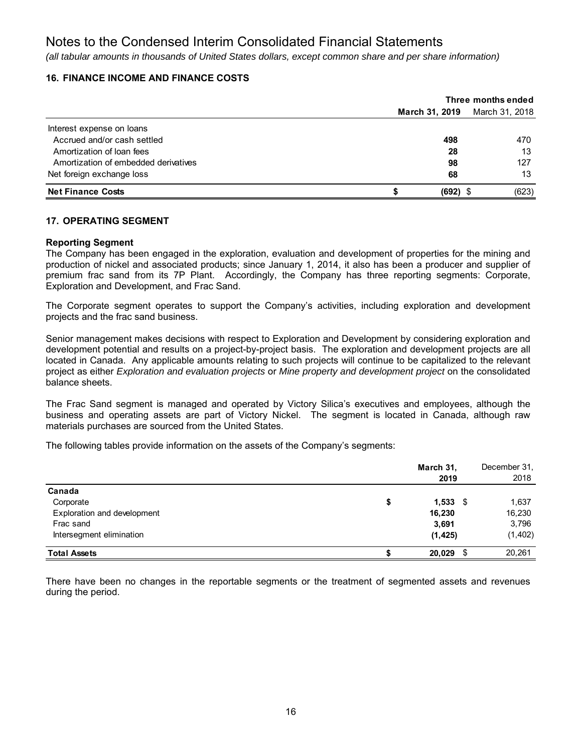*(all tabular amounts in thousands of United States dollars, except common share and per share information)*

## **16. FINANCE INCOME AND FINANCE COSTS**

|                                      | Three months ended |                |  |  |
|--------------------------------------|--------------------|----------------|--|--|
|                                      | March 31, 2019     | March 31, 2018 |  |  |
| Interest expense on loans            |                    |                |  |  |
| Accrued and/or cash settled          | 498                | 470            |  |  |
| Amortization of loan fees            | 28                 | 13             |  |  |
| Amortization of embedded derivatives | 98                 | 127            |  |  |
| Net foreign exchange loss            | 68                 | 13             |  |  |
| <b>Net Finance Costs</b>             | $(692)$ \$         | (623)          |  |  |

#### **17. OPERATING SEGMENT**

#### **Reporting Segment**

The Company has been engaged in the exploration, evaluation and development of properties for the mining and production of nickel and associated products; since January 1, 2014, it also has been a producer and supplier of premium frac sand from its 7P Plant. Accordingly, the Company has three reporting segments: Corporate, Exploration and Development, and Frac Sand.

The Corporate segment operates to support the Company's activities, including exploration and development projects and the frac sand business.

Senior management makes decisions with respect to Exploration and Development by considering exploration and development potential and results on a project-by-project basis. The exploration and development projects are all located in Canada. Any applicable amounts relating to such projects will continue to be capitalized to the relevant project as either *Exploration and evaluation projects* or *Mine property and development project* on the consolidated balance sheets.

The Frac Sand segment is managed and operated by Victory Silica's executives and employees, although the business and operating assets are part of Victory Nickel. The segment is located in Canada, although raw materials purchases are sourced from the United States.

The following tables provide information on the assets of the Company's segments:

|                             | March 31,<br>2019 |     | December 31,<br>2018 |
|-----------------------------|-------------------|-----|----------------------|
| Canada                      |                   |     |                      |
| Corporate                   | \$<br>$1,533$ \$  |     | 1,637                |
| Exploration and development | 16,230            |     | 16,230               |
| Frac sand                   | 3,691             |     | 3,796                |
| Intersegment elimination    | (1, 425)          |     | (1, 402)             |
| <b>Total Assets</b>         | 20,029            | -\$ | 20,261               |

There have been no changes in the reportable segments or the treatment of segmented assets and revenues during the period.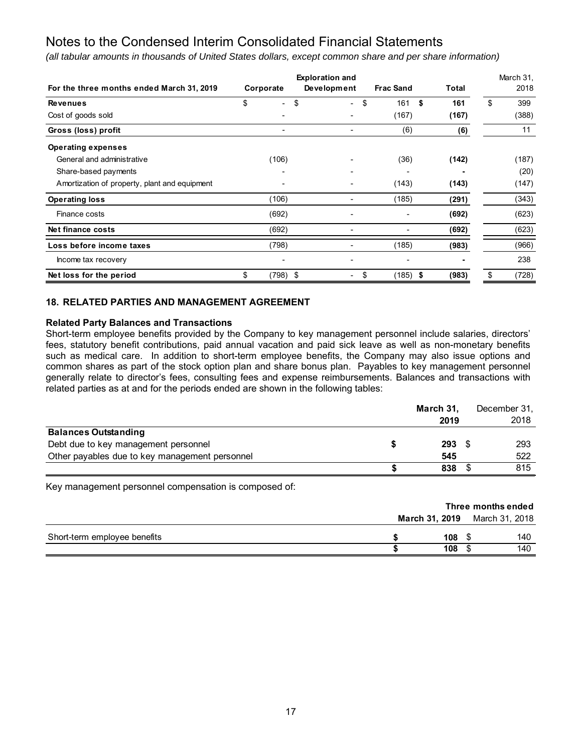*(all tabular amounts in thousands of United States dollars, except common share and per share information)*

|                                               |                | <b>Exploration and</b>   |                  |             | March 31,   |
|-----------------------------------------------|----------------|--------------------------|------------------|-------------|-------------|
| For the three months ended March 31, 2019     | Corporate      | Development              | <b>Frac Sand</b> | Total       | 2018        |
| <b>Revenues</b>                               | \$<br>٠        | \$<br>$\sim$             | \$<br>161        | \$<br>161   | \$<br>399   |
| Cost of goods sold                            |                |                          | (167)            | (167)       | (388)       |
| Gross (loss) profit                           | ٠              |                          | (6)              | (6)         | 11          |
| <b>Operating expenses</b>                     |                |                          |                  |             |             |
| General and administrative                    | (106)          |                          | (36)             | (142)       | (187)       |
| Share-based payments                          |                |                          |                  |             | (20)        |
| Amortization of property, plant and equipment |                |                          | (143)            | (143)       | (147)       |
| <b>Operating loss</b>                         | (106)          |                          | (185)            | (291)       | (343)       |
| Finance costs                                 | (692)          |                          |                  | (692)       | (623)       |
| Net finance costs                             | (692)          |                          |                  | (692)       | (623)       |
| Loss before income taxes                      | (798)          |                          | (185)            | (983)       | (966)       |
| Income tax recovery                           |                |                          |                  |             | 238         |
| Net loss for the period                       | \$<br>(798) \$ | $\overline{\phantom{a}}$ | \$<br>(185)      | \$<br>(983) | \$<br>(728) |

#### **18. RELATED PARTIES AND MANAGEMENT AGREEMENT**

#### **Related Party Balances and Transactions**

Short-term employee benefits provided by the Company to key management personnel include salaries, directors' fees, statutory benefit contributions, paid annual vacation and paid sick leave as well as non-monetary benefits such as medical care. In addition to short-term employee benefits, the Company may also issue options and common shares as part of the stock option plan and share bonus plan. Payables to key management personnel generally relate to director's fees, consulting fees and expense reimbursements. Balances and transactions with related parties as at and for the periods ended are shown in the following tables:

|                                                | March 31, |  | December 31, |
|------------------------------------------------|-----------|--|--------------|
|                                                | 2019      |  | 2018         |
| <b>Balances Outstanding</b>                    |           |  |              |
| Debt due to key management personnel           | 293       |  | 293          |
| Other payables due to key management personnel | 545       |  | 522          |
|                                                | 838       |  | 815          |

Key management personnel compensation is composed of:

|                              |                  | Three months ended                   |
|------------------------------|------------------|--------------------------------------|
|                              |                  | <b>March 31, 2019</b> March 31, 2018 |
| Short-term employee benefits | 108 <sup>5</sup> | 140                                  |
|                              | 108              | 140                                  |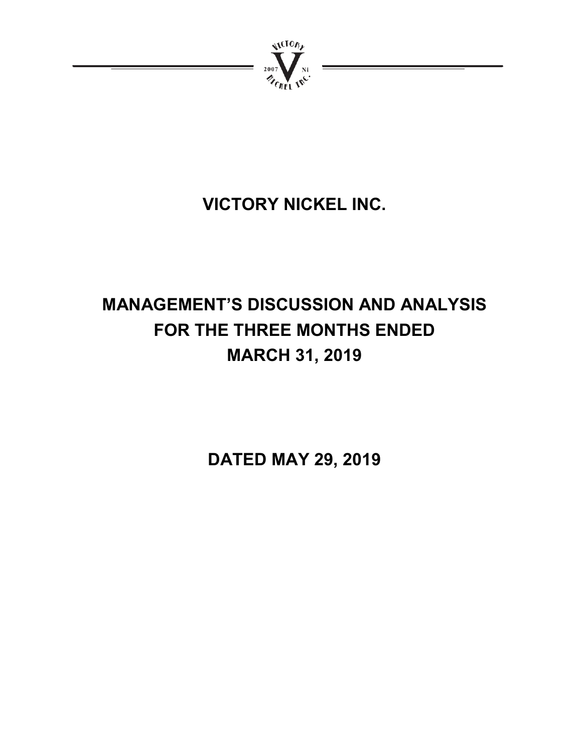

# **VICTORY NICKEL INC.**

# **MANAGEMENT'S DISCUSSION AND ANALYSIS FOR THE THREE MONTHS ENDED MARCH 31, 2019**

**DATED MAY 29, 2019**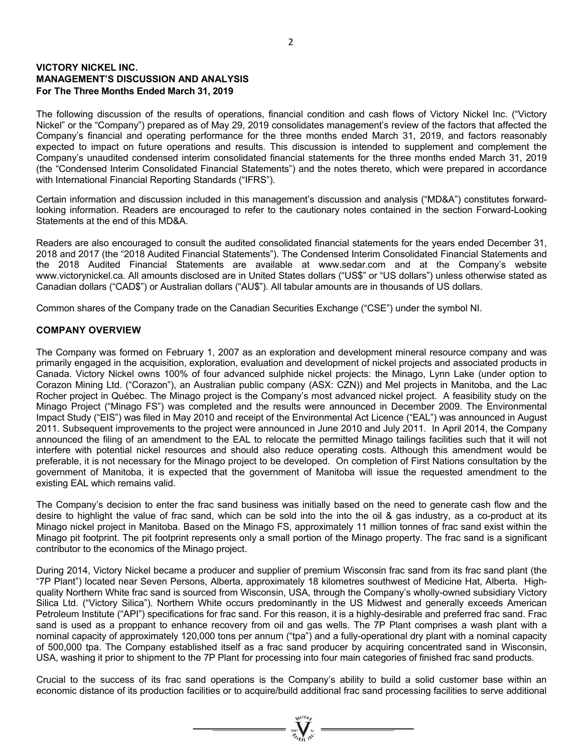## **VICTORY NICKEL INC. MANAGEMENT'S DISCUSSION AND ANALYSIS For The Three Months Ended March 31, 2019**

The following discussion of the results of operations, financial condition and cash flows of Victory Nickel Inc. ("Victory Nickel" or the "Company") prepared as of May 29, 2019 consolidates management's review of the factors that affected the Company's financial and operating performance for the three months ended March 31, 2019, and factors reasonably expected to impact on future operations and results. This discussion is intended to supplement and complement the Company's unaudited condensed interim consolidated financial statements for the three months ended March 31, 2019 (the "Condensed Interim Consolidated Financial Statements") and the notes thereto, which were prepared in accordance with International Financial Reporting Standards ("IFRS").

Certain information and discussion included in this management's discussion and analysis ("MD&A") constitutes forwardlooking information. Readers are encouraged to refer to the cautionary notes contained in the section Forward-Looking Statements at the end of this MD&A.

Readers are also encouraged to consult the audited consolidated financial statements for the years ended December 31, 2018 and 2017 (the "2018 Audited Financial Statements"). The Condensed Interim Consolidated Financial Statements and the 2018 Audited Financial Statements are available at www.sedar.com and at the Company's website www.victorynickel.ca. All amounts disclosed are in United States dollars ("US\$" or "US dollars") unless otherwise stated as Canadian dollars ("CAD\$") or Australian dollars ("AU\$"). All tabular amounts are in thousands of US dollars.

Common shares of the Company trade on the Canadian Securities Exchange ("CSE") under the symbol NI.

#### **COMPANY OVERVIEW**

The Company was formed on February 1, 2007 as an exploration and development mineral resource company and was primarily engaged in the acquisition, exploration, evaluation and development of nickel projects and associated products in Canada. Victory Nickel owns 100% of four advanced sulphide nickel projects: the Minago, Lynn Lake (under option to Corazon Mining Ltd. ("Corazon"), an Australian public company (ASX: CZN)) and Mel projects in Manitoba, and the Lac Rocher project in Québec. The Minago project is the Company's most advanced nickel project. A feasibility study on the Minago Project ("Minago FS") was completed and the results were announced in December 2009. The Environmental Impact Study ("EIS") was filed in May 2010 and receipt of the Environmental Act Licence ("EAL") was announced in August 2011. Subsequent improvements to the project were announced in June 2010 and July 2011. In April 2014, the Company announced the filing of an amendment to the EAL to relocate the permitted Minago tailings facilities such that it will not interfere with potential nickel resources and should also reduce operating costs. Although this amendment would be preferable, it is not necessary for the Minago project to be developed. On completion of First Nations consultation by the government of Manitoba, it is expected that the government of Manitoba will issue the requested amendment to the existing EAL which remains valid.

The Company's decision to enter the frac sand business was initially based on the need to generate cash flow and the desire to highlight the value of frac sand, which can be sold into the into the oil & gas industry, as a co-product at its Minago nickel project in Manitoba. Based on the Minago FS, approximately 11 million tonnes of frac sand exist within the Minago pit footprint. The pit footprint represents only a small portion of the Minago property. The frac sand is a significant contributor to the economics of the Minago project.

During 2014, Victory Nickel became a producer and supplier of premium Wisconsin frac sand from its frac sand plant (the "7P Plant") located near Seven Persons, Alberta, approximately 18 kilometres southwest of Medicine Hat, Alberta. Highquality Northern White frac sand is sourced from Wisconsin, USA, through the Company's wholly-owned subsidiary Victory Silica Ltd. ("Victory Silica"). Northern White occurs predominantly in the US Midwest and generally exceeds American Petroleum Institute ("API") specifications for frac sand. For this reason, it is a highly-desirable and preferred frac sand. Frac sand is used as a proppant to enhance recovery from oil and gas wells. The 7P Plant comprises a wash plant with a nominal capacity of approximately 120,000 tons per annum ("tpa") and a fully-operational dry plant with a nominal capacity of 500,000 tpa. The Company established itself as a frac sand producer by acquiring concentrated sand in Wisconsin, USA, washing it prior to shipment to the 7P Plant for processing into four main categories of finished frac sand products.

Crucial to the success of its frac sand operations is the Company's ability to build a solid customer base within an economic distance of its production facilities or to acquire/build additional frac sand processing facilities to serve additional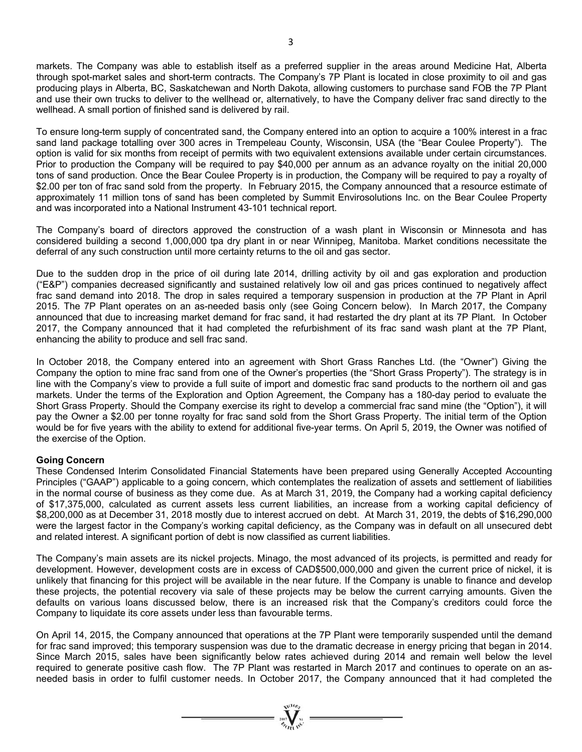markets. The Company was able to establish itself as a preferred supplier in the areas around Medicine Hat, Alberta through spot-market sales and short-term contracts. The Company's 7P Plant is located in close proximity to oil and gas producing plays in Alberta, BC, Saskatchewan and North Dakota, allowing customers to purchase sand FOB the 7P Plant and use their own trucks to deliver to the wellhead or, alternatively, to have the Company deliver frac sand directly to the wellhead. A small portion of finished sand is delivered by rail.

To ensure long-term supply of concentrated sand, the Company entered into an option to acquire a 100% interest in a frac sand land package totalling over 300 acres in Trempeleau County, Wisconsin, USA (the "Bear Coulee Property"). The option is valid for six months from receipt of permits with two equivalent extensions available under certain circumstances. Prior to production the Company will be required to pay \$40,000 per annum as an advance royalty on the initial 20,000 tons of sand production. Once the Bear Coulee Property is in production, the Company will be required to pay a royalty of \$2.00 per ton of frac sand sold from the property. In February 2015, the Company announced that a resource estimate of approximately 11 million tons of sand has been completed by Summit Envirosolutions Inc. on the Bear Coulee Property and was incorporated into a National Instrument 43-101 technical report.

The Company's board of directors approved the construction of a wash plant in Wisconsin or Minnesota and has considered building a second 1,000,000 tpa dry plant in or near Winnipeg, Manitoba. Market conditions necessitate the deferral of any such construction until more certainty returns to the oil and gas sector.

Due to the sudden drop in the price of oil during late 2014, drilling activity by oil and gas exploration and production ("E&P") companies decreased significantly and sustained relatively low oil and gas prices continued to negatively affect frac sand demand into 2018. The drop in sales required a temporary suspension in production at the 7P Plant in April 2015. The 7P Plant operates on an as-needed basis only (see Going Concern below). In March 2017, the Company announced that due to increasing market demand for frac sand, it had restarted the dry plant at its 7P Plant. In October 2017, the Company announced that it had completed the refurbishment of its frac sand wash plant at the 7P Plant, enhancing the ability to produce and sell frac sand.

In October 2018, the Company entered into an agreement with Short Grass Ranches Ltd. (the "Owner") Giving the Company the option to mine frac sand from one of the Owner's properties (the "Short Grass Property"). The strategy is in line with the Company's view to provide a full suite of import and domestic frac sand products to the northern oil and gas markets. Under the terms of the Exploration and Option Agreement, the Company has a 180-day period to evaluate the Short Grass Property. Should the Company exercise its right to develop a commercial frac sand mine (the "Option"), it will pay the Owner a \$2.00 per tonne royalty for frac sand sold from the Short Grass Property. The initial term of the Option would be for five years with the ability to extend for additional five-year terms. On April 5, 2019, the Owner was notified of the exercise of the Option.

## **Going Concern**

These Condensed Interim Consolidated Financial Statements have been prepared using Generally Accepted Accounting Principles ("GAAP") applicable to a going concern, which contemplates the realization of assets and settlement of liabilities in the normal course of business as they come due. As at March 31, 2019, the Company had a working capital deficiency of \$17,375,000, calculated as current assets less current liabilities, an increase from a working capital deficiency of \$8,200,000 as at December 31, 2018 mostly due to interest accrued on debt. At March 31, 2019, the debts of \$16,290,000 were the largest factor in the Company's working capital deficiency, as the Company was in default on all unsecured debt and related interest. A significant portion of debt is now classified as current liabilities.

The Company's main assets are its nickel projects. Minago, the most advanced of its projects, is permitted and ready for development. However, development costs are in excess of CAD\$500,000,000 and given the current price of nickel, it is unlikely that financing for this project will be available in the near future. If the Company is unable to finance and develop these projects, the potential recovery via sale of these projects may be below the current carrying amounts. Given the defaults on various loans discussed below, there is an increased risk that the Company's creditors could force the Company to liquidate its core assets under less than favourable terms.

On April 14, 2015, the Company announced that operations at the 7P Plant were temporarily suspended until the demand for frac sand improved; this temporary suspension was due to the dramatic decrease in energy pricing that began in 2014. Since March 2015, sales have been significantly below rates achieved during 2014 and remain well below the level required to generate positive cash flow. The 7P Plant was restarted in March 2017 and continues to operate on an asneeded basis in order to fulfil customer needs. In October 2017, the Company announced that it had completed the

 $\sum_{n=1}^{\infty} \sum_{n=1}^{\infty}$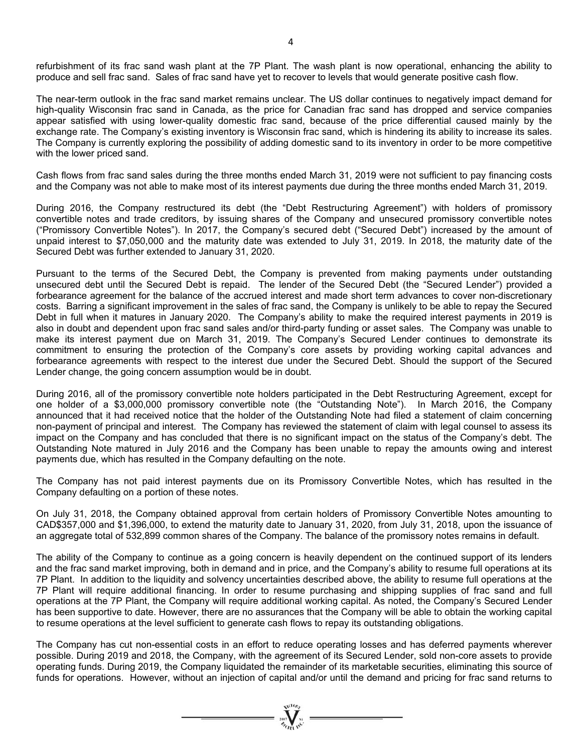refurbishment of its frac sand wash plant at the 7P Plant. The wash plant is now operational, enhancing the ability to produce and sell frac sand. Sales of frac sand have yet to recover to levels that would generate positive cash flow.

The near-term outlook in the frac sand market remains unclear. The US dollar continues to negatively impact demand for high-quality Wisconsin frac sand in Canada, as the price for Canadian frac sand has dropped and service companies appear satisfied with using lower-quality domestic frac sand, because of the price differential caused mainly by the exchange rate. The Company's existing inventory is Wisconsin frac sand, which is hindering its ability to increase its sales. The Company is currently exploring the possibility of adding domestic sand to its inventory in order to be more competitive with the lower priced sand.

Cash flows from frac sand sales during the three months ended March 31, 2019 were not sufficient to pay financing costs and the Company was not able to make most of its interest payments due during the three months ended March 31, 2019.

During 2016, the Company restructured its debt (the "Debt Restructuring Agreement") with holders of promissory convertible notes and trade creditors, by issuing shares of the Company and unsecured promissory convertible notes ("Promissory Convertible Notes"). In 2017, the Company's secured debt ("Secured Debt") increased by the amount of unpaid interest to \$7,050,000 and the maturity date was extended to July 31, 2019. In 2018, the maturity date of the Secured Debt was further extended to January 31, 2020.

Pursuant to the terms of the Secured Debt, the Company is prevented from making payments under outstanding unsecured debt until the Secured Debt is repaid. The lender of the Secured Debt (the "Secured Lender") provided a forbearance agreement for the balance of the accrued interest and made short term advances to cover non-discretionary costs. Barring a significant improvement in the sales of frac sand, the Company is unlikely to be able to repay the Secured Debt in full when it matures in January 2020. The Company's ability to make the required interest payments in 2019 is also in doubt and dependent upon frac sand sales and/or third-party funding or asset sales. The Company was unable to make its interest payment due on March 31, 2019. The Company's Secured Lender continues to demonstrate its commitment to ensuring the protection of the Company's core assets by providing working capital advances and forbearance agreements with respect to the interest due under the Secured Debt. Should the support of the Secured Lender change, the going concern assumption would be in doubt.

During 2016, all of the promissory convertible note holders participated in the Debt Restructuring Agreement, except for one holder of a \$3,000,000 promissory convertible note (the "Outstanding Note"). In March 2016, the Company announced that it had received notice that the holder of the Outstanding Note had filed a statement of claim concerning non-payment of principal and interest. The Company has reviewed the statement of claim with legal counsel to assess its impact on the Company and has concluded that there is no significant impact on the status of the Company's debt. The Outstanding Note matured in July 2016 and the Company has been unable to repay the amounts owing and interest payments due, which has resulted in the Company defaulting on the note.

The Company has not paid interest payments due on its Promissory Convertible Notes, which has resulted in the Company defaulting on a portion of these notes.

On July 31, 2018, the Company obtained approval from certain holders of Promissory Convertible Notes amounting to CAD\$357,000 and \$1,396,000, to extend the maturity date to January 31, 2020, from July 31, 2018, upon the issuance of an aggregate total of 532,899 common shares of the Company. The balance of the promissory notes remains in default.

The ability of the Company to continue as a going concern is heavily dependent on the continued support of its lenders and the frac sand market improving, both in demand and in price, and the Company's ability to resume full operations at its 7P Plant. In addition to the liquidity and solvency uncertainties described above, the ability to resume full operations at the 7P Plant will require additional financing. In order to resume purchasing and shipping supplies of frac sand and full operations at the 7P Plant, the Company will require additional working capital. As noted, the Company's Secured Lender has been supportive to date. However, there are no assurances that the Company will be able to obtain the working capital to resume operations at the level sufficient to generate cash flows to repay its outstanding obligations.

The Company has cut non-essential costs in an effort to reduce operating losses and has deferred payments wherever possible. During 2019 and 2018, the Company, with the agreement of its Secured Lender, sold non-core assets to provide operating funds. During 2019, the Company liquidated the remainder of its marketable securities, eliminating this source of funds for operations. However, without an injection of capital and/or until the demand and pricing for frac sand returns to

 $\sum_{m,n,m'}^{m'} \sum_{m,n,m'} =$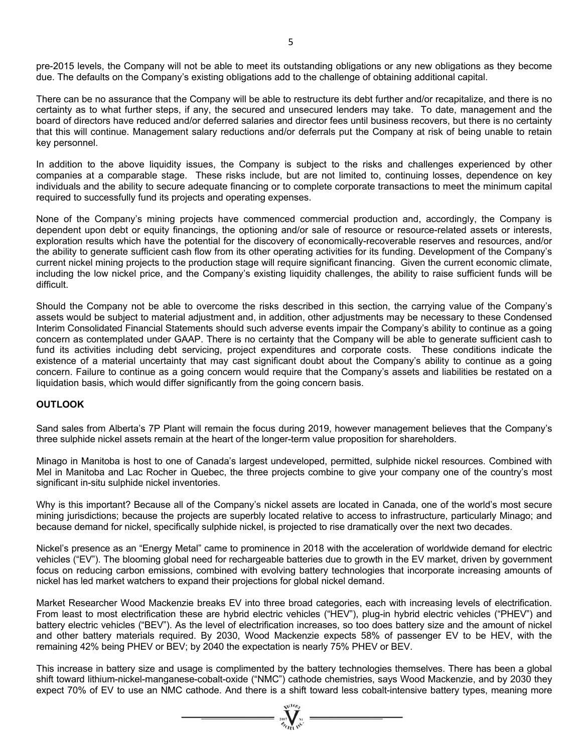pre-2015 levels, the Company will not be able to meet its outstanding obligations or any new obligations as they become due. The defaults on the Company's existing obligations add to the challenge of obtaining additional capital.

There can be no assurance that the Company will be able to restructure its debt further and/or recapitalize, and there is no certainty as to what further steps, if any, the secured and unsecured lenders may take. To date, management and the board of directors have reduced and/or deferred salaries and director fees until business recovers, but there is no certainty that this will continue. Management salary reductions and/or deferrals put the Company at risk of being unable to retain key personnel.

In addition to the above liquidity issues, the Company is subject to the risks and challenges experienced by other companies at a comparable stage. These risks include, but are not limited to, continuing losses, dependence on key individuals and the ability to secure adequate financing or to complete corporate transactions to meet the minimum capital required to successfully fund its projects and operating expenses.

None of the Company's mining projects have commenced commercial production and, accordingly, the Company is dependent upon debt or equity financings, the optioning and/or sale of resource or resource-related assets or interests, exploration results which have the potential for the discovery of economically-recoverable reserves and resources, and/or the ability to generate sufficient cash flow from its other operating activities for its funding. Development of the Company's current nickel mining projects to the production stage will require significant financing. Given the current economic climate, including the low nickel price, and the Company's existing liquidity challenges, the ability to raise sufficient funds will be difficult.

Should the Company not be able to overcome the risks described in this section, the carrying value of the Company's assets would be subject to material adjustment and, in addition, other adjustments may be necessary to these Condensed Interim Consolidated Financial Statements should such adverse events impair the Company's ability to continue as a going concern as contemplated under GAAP. There is no certainty that the Company will be able to generate sufficient cash to fund its activities including debt servicing, project expenditures and corporate costs. These conditions indicate the existence of a material uncertainty that may cast significant doubt about the Company's ability to continue as a going concern. Failure to continue as a going concern would require that the Company's assets and liabilities be restated on a liquidation basis, which would differ significantly from the going concern basis.

#### **OUTLOOK**

Sand sales from Alberta's 7P Plant will remain the focus during 2019, however management believes that the Company's three sulphide nickel assets remain at the heart of the longer-term value proposition for shareholders.

Minago in Manitoba is host to one of Canada's largest undeveloped, permitted, sulphide nickel resources. Combined with Mel in Manitoba and Lac Rocher in Quebec, the three projects combine to give your company one of the country's most significant in-situ sulphide nickel inventories.

Why is this important? Because all of the Company's nickel assets are located in Canada, one of the world's most secure mining jurisdictions; because the projects are superbly located relative to access to infrastructure, particularly Minago; and because demand for nickel, specifically sulphide nickel, is projected to rise dramatically over the next two decades.

Nickel's presence as an "Energy Metal" came to prominence in 2018 with the acceleration of worldwide demand for electric vehicles ("EV"). The blooming global need for rechargeable batteries due to growth in the EV market, driven by government focus on reducing carbon emissions, combined with evolving battery technologies that incorporate increasing amounts of nickel has led market watchers to expand their projections for global nickel demand.

Market Researcher Wood Mackenzie breaks EV into three broad categories, each with increasing levels of electrification. From least to most electrification these are hybrid electric vehicles ("HEV"), plug-in hybrid electric vehicles ("PHEV") and battery electric vehicles ("BEV"). As the level of electrification increases, so too does battery size and the amount of nickel and other battery materials required. By 2030, Wood Mackenzie expects 58% of passenger EV to be HEV, with the remaining 42% being PHEV or BEV; by 2040 the expectation is nearly 75% PHEV or BEV.

This increase in battery size and usage is complimented by the battery technologies themselves. There has been a global shift toward lithium-nickel-manganese-cobalt-oxide ("NMC") cathode chemistries, says Wood Mackenzie, and by 2030 they expect 70% of EV to use an NMC cathode. And there is a shift toward less cobalt-intensive battery types, meaning more

 $=\sum_{\alpha\in\mathcal{N}_{\text{crit}}}^{\text{intra}}\sum_{\alpha\in\mathcal{N}_{\text{crit}}}^{\text{intra}}=$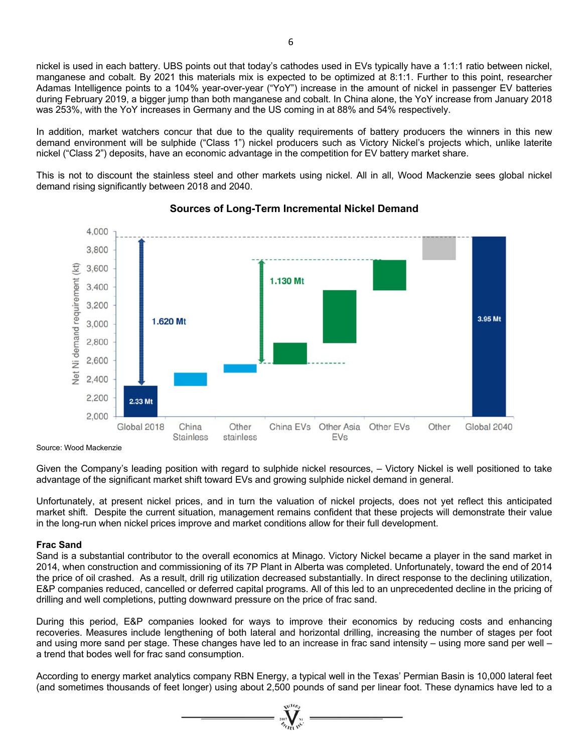nickel is used in each battery. UBS points out that today's cathodes used in EVs typically have a 1:1:1 ratio between nickel, manganese and cobalt. By 2021 this materials mix is expected to be optimized at 8:1:1. Further to this point, researcher Adamas Intelligence points to a 104% year-over-year ("YoY") increase in the amount of nickel in passenger EV batteries during February 2019, a bigger jump than both manganese and cobalt. In China alone, the YoY increase from January 2018 was 253%, with the YoY increases in Germany and the US coming in at 88% and 54% respectively.

In addition, market watchers concur that due to the quality requirements of battery producers the winners in this new demand environment will be sulphide ("Class 1") nickel producers such as Victory Nickel's projects which, unlike laterite nickel ("Class 2") deposits, have an economic advantage in the competition for EV battery market share.

This is not to discount the stainless steel and other markets using nickel. All in all, Wood Mackenzie sees global nickel demand rising significantly between 2018 and 2040.



# **Sources of Long-Term Incremental Nickel Demand**

Source: Wood Mackenzie

Given the Company's leading position with regard to sulphide nickel resources, – Victory Nickel is well positioned to take advantage of the significant market shift toward EVs and growing sulphide nickel demand in general.

Unfortunately, at present nickel prices, and in turn the valuation of nickel projects, does not yet reflect this anticipated market shift. Despite the current situation, management remains confident that these projects will demonstrate their value in the long-run when nickel prices improve and market conditions allow for their full development.

## **Frac Sand**

Sand is a substantial contributor to the overall economics at Minago. Victory Nickel became a player in the sand market in 2014, when construction and commissioning of its 7P Plant in Alberta was completed. Unfortunately, toward the end of 2014 the price of oil crashed. As a result, drill rig utilization decreased substantially. In direct response to the declining utilization, E&P companies reduced, cancelled or deferred capital programs. All of this led to an unprecedented decline in the pricing of drilling and well completions, putting downward pressure on the price of frac sand.

During this period, E&P companies looked for ways to improve their economics by reducing costs and enhancing recoveries. Measures include lengthening of both lateral and horizontal drilling, increasing the number of stages per foot and using more sand per stage. These changes have led to an increase in frac sand intensity – using more sand per well – a trend that bodes well for frac sand consumption.

According to energy market analytics company RBN Energy, a typical well in the Texas' Permian Basin is 10,000 lateral feet (and sometimes thousands of feet longer) using about 2,500 pounds of sand per linear foot. These dynamics have led to a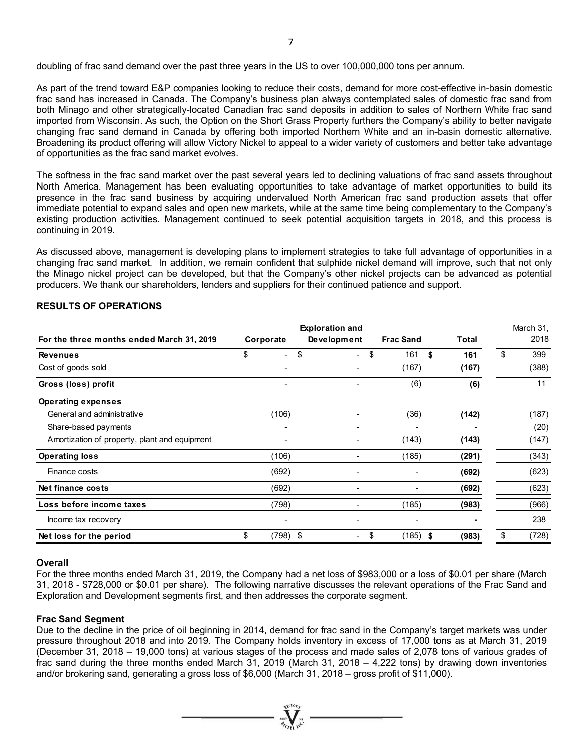doubling of frac sand demand over the past three years in the US to over 100,000,000 tons per annum.

As part of the trend toward E&P companies looking to reduce their costs, demand for more cost-effective in-basin domestic frac sand has increased in Canada. The Company's business plan always contemplated sales of domestic frac sand from both Minago and other strategically-located Canadian frac sand deposits in addition to sales of Northern White frac sand imported from Wisconsin. As such, the Option on the Short Grass Property furthers the Company's ability to better navigate changing frac sand demand in Canada by offering both imported Northern White and an in-basin domestic alternative. Broadening its product offering will allow Victory Nickel to appeal to a wider variety of customers and better take advantage of opportunities as the frac sand market evolves.

The softness in the frac sand market over the past several years led to declining valuations of frac sand assets throughout North America. Management has been evaluating opportunities to take advantage of market opportunities to build its presence in the frac sand business by acquiring undervalued North American frac sand production assets that offer immediate potential to expand sales and open new markets, while at the same time being complementary to the Company's existing production activities. Management continued to seek potential acquisition targets in 2018, and this process is continuing in 2019.

As discussed above, management is developing plans to implement strategies to take full advantage of opportunities in a changing frac sand market. In addition, we remain confident that sulphide nickel demand will improve, such that not only the Minago nickel project can be developed, but that the Company's other nickel projects can be advanced as potential producers. We thank our shareholders, lenders and suppliers for their continued patience and support.

| For the three months ended March 31, 2019     | Corporate                      | <b>Exploration and</b><br>Development | <b>Frac Sand</b> | Total       | March 31,<br>2018 |
|-----------------------------------------------|--------------------------------|---------------------------------------|------------------|-------------|-------------------|
| <b>Revenues</b>                               | \$<br>$\overline{\phantom{0}}$ | \$<br>- 1                             | \$<br>161        | \$<br>161   | \$<br>399         |
| Cost of goods sold                            |                                |                                       | (167)            | (167)       | (388)             |
| Gross (loss) profit                           |                                |                                       | (6)              | (6)         | 11                |
| <b>Operating expenses</b>                     |                                |                                       |                  |             |                   |
| General and administrative                    | (106)                          |                                       | (36)             | (142)       | (187)             |
| Share-based payments                          |                                |                                       |                  |             | (20)              |
| Amortization of property, plant and equipment |                                |                                       | (143)            | (143)       | (147)             |
| <b>Operating loss</b>                         | (106)                          |                                       | (185)            | (291)       | (343)             |
| Finance costs                                 | (692)                          |                                       |                  | (692)       | (623)             |
| Net finance costs                             | (692)                          |                                       |                  | (692)       | (623)             |
| Loss before income taxes                      | (798)                          | $\overline{\phantom{0}}$              | (185)            | (983)       | (966)             |
| Income tax recovery                           |                                |                                       |                  |             | 238               |
| Net loss for the period                       | \$<br>(798) \$                 | $\sim$                                | \$<br>(185)      | (983)<br>\$ | \$<br>(728)       |

#### **RESULTS OF OPERATIONS**

#### **Overall**

For the three months ended March 31, 2019, the Company had a net loss of \$983,000 or a loss of \$0.01 per share (March 31, 2018 - \$728,000 or \$0.01 per share). The following narrative discusses the relevant operations of the Frac Sand and Exploration and Development segments first, and then addresses the corporate segment.

## **Frac Sand Segment**

Due to the decline in the price of oil beginning in 2014, demand for frac sand in the Company's target markets was under pressure throughout 2018 and into 2019. The Company holds inventory in excess of 17,000 tons as at March 31, 2019 (December 31, 2018 – 19,000 tons) at various stages of the process and made sales of 2,078 tons of various grades of frac sand during the three months ended March 31, 2019 (March 31, 2018 – 4,222 tons) by drawing down inventories and/or brokering sand, generating a gross loss of \$6,000 (March 31, 2018 – gross profit of \$11,000).

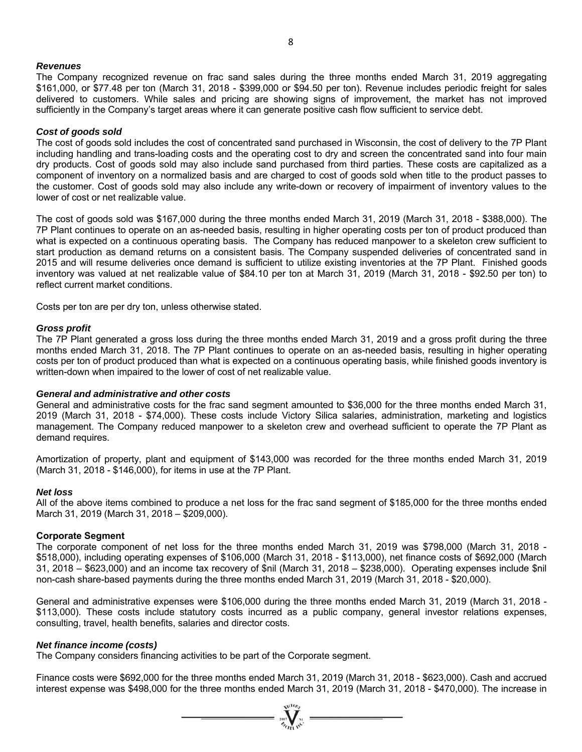#### *Revenues*

The Company recognized revenue on frac sand sales during the three months ended March 31, 2019 aggregating \$161,000, or \$77.48 per ton (March 31, 2018 - \$399,000 or \$94.50 per ton). Revenue includes periodic freight for sales delivered to customers. While sales and pricing are showing signs of improvement, the market has not improved sufficiently in the Company's target areas where it can generate positive cash flow sufficient to service debt.

#### *Cost of goods sold*

The cost of goods sold includes the cost of concentrated sand purchased in Wisconsin, the cost of delivery to the 7P Plant including handling and trans-loading costs and the operating cost to dry and screen the concentrated sand into four main dry products. Cost of goods sold may also include sand purchased from third parties. These costs are capitalized as a component of inventory on a normalized basis and are charged to cost of goods sold when title to the product passes to the customer. Cost of goods sold may also include any write-down or recovery of impairment of inventory values to the lower of cost or net realizable value.

The cost of goods sold was \$167,000 during the three months ended March 31, 2019 (March 31, 2018 - \$388,000). The 7P Plant continues to operate on an as-needed basis, resulting in higher operating costs per ton of product produced than what is expected on a continuous operating basis. The Company has reduced manpower to a skeleton crew sufficient to start production as demand returns on a consistent basis. The Company suspended deliveries of concentrated sand in 2015 and will resume deliveries once demand is sufficient to utilize existing inventories at the 7P Plant. Finished goods inventory was valued at net realizable value of \$84.10 per ton at March 31, 2019 (March 31, 2018 - \$92.50 per ton) to reflect current market conditions.

Costs per ton are per dry ton, unless otherwise stated.

#### *Gross profit*

The 7P Plant generated a gross loss during the three months ended March 31, 2019 and a gross profit during the three months ended March 31, 2018. The 7P Plant continues to operate on an as-needed basis, resulting in higher operating costs per ton of product produced than what is expected on a continuous operating basis, while finished goods inventory is written-down when impaired to the lower of cost of net realizable value.

#### *General and administrative and other costs*

General and administrative costs for the frac sand segment amounted to \$36,000 for the three months ended March 31, 2019 (March 31, 2018 - \$74,000). These costs include Victory Silica salaries, administration, marketing and logistics management. The Company reduced manpower to a skeleton crew and overhead sufficient to operate the 7P Plant as demand requires.

Amortization of property, plant and equipment of \$143,000 was recorded for the three months ended March 31, 2019 (March 31, 2018 - \$146,000), for items in use at the 7P Plant.

#### *Net loss*

All of the above items combined to produce a net loss for the frac sand segment of \$185,000 for the three months ended March 31, 2019 (March 31, 2018 – \$209,000).

#### **Corporate Segment**

The corporate component of net loss for the three months ended March 31, 2019 was \$798,000 (March 31, 2018 - \$518,000), including operating expenses of \$106,000 (March 31, 2018 - \$113,000), net finance costs of \$692,000 (March 31, 2018 – \$623,000) and an income tax recovery of \$nil (March 31, 2018 – \$238,000). Operating expenses include \$nil non-cash share-based payments during the three months ended March 31, 2019 (March 31, 2018 - \$20,000).

General and administrative expenses were \$106,000 during the three months ended March 31, 2019 (March 31, 2018 - \$113,000). These costs include statutory costs incurred as a public company, general investor relations expenses, consulting, travel, health benefits, salaries and director costs.

#### *Net finance income (costs)*

The Company considers financing activities to be part of the Corporate segment.

Finance costs were \$692,000 for the three months ended March 31, 2019 (March 31, 2018 - \$623,000). Cash and accrued interest expense was \$498,000 for the three months ended March 31, 2019 (March 31, 2018 - \$470,000). The increase in

 $= \prod_{\alpha_{\ell}}^{m} \sum_{\alpha_{\ell}}^{m} =$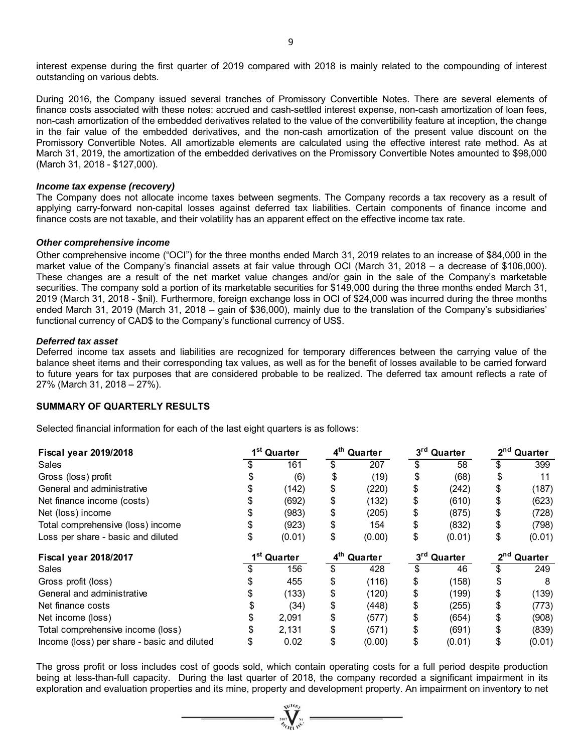interest expense during the first quarter of 2019 compared with 2018 is mainly related to the compounding of interest outstanding on various debts.

During 2016, the Company issued several tranches of Promissory Convertible Notes. There are several elements of finance costs associated with these notes: accrued and cash-settled interest expense, non-cash amortization of loan fees, non-cash amortization of the embedded derivatives related to the value of the convertibility feature at inception, the change in the fair value of the embedded derivatives, and the non-cash amortization of the present value discount on the Promissory Convertible Notes. All amortizable elements are calculated using the effective interest rate method. As at March 31, 2019, the amortization of the embedded derivatives on the Promissory Convertible Notes amounted to \$98,000 (March 31, 2018 - \$127,000).

#### *Income tax expense (recovery)*

The Company does not allocate income taxes between segments. The Company records a tax recovery as a result of applying carry-forward non-capital losses against deferred tax liabilities. Certain components of finance income and finance costs are not taxable, and their volatility has an apparent effect on the effective income tax rate.

#### *Other comprehensive income*

Other comprehensive income ("OCI") for the three months ended March 31, 2019 relates to an increase of \$84,000 in the market value of the Company's financial assets at fair value through OCI (March 31, 2018 – a decrease of \$106,000). These changes are a result of the net market value changes and/or gain in the sale of the Company's marketable securities. The company sold a portion of its marketable securities for \$149,000 during the three months ended March 31, 2019 (March 31, 2018 - \$nil). Furthermore, foreign exchange loss in OCI of \$24,000 was incurred during the three months ended March 31, 2019 (March 31, 2018 – gain of \$36,000), mainly due to the translation of the Company's subsidiaries' functional currency of CAD\$ to the Company's functional currency of US\$.

#### *Deferred tax asset*

Deferred income tax assets and liabilities are recognized for temporary differences between the carrying value of the balance sheet items and their corresponding tax values, as well as for the benefit of losses available to be carried forward to future years for tax purposes that are considered probable to be realized. The deferred tax amount reflects a rate of 27% (March 31, 2018 – 27%).

#### **SUMMARY OF QUARTERLY RESULTS**

Selected financial information for each of the last eight quarters is as follows:

| <b>Fiscal year 2019/2018</b>                | 1 <sup>st</sup> Quarter |        | 4 <sup>th</sup> Quarter    |        | 3 <sup>rd</sup> Quarter      |        | 2 <sup>nd</sup> Quarter    |        |
|---------------------------------------------|-------------------------|--------|----------------------------|--------|------------------------------|--------|----------------------------|--------|
| Sales                                       |                         | 161    | \$                         | 207    |                              | 58     | \$                         | 399    |
| Gross (loss) profit                         |                         | (6)    | \$                         | (19)   | \$                           | (68)   | \$                         | 11     |
| General and administrative                  |                         | (142)  | \$                         | (220)  | \$                           | (242)  | \$                         | (187)  |
| Net finance income (costs)                  |                         | (692)  | \$                         | (132)  | \$                           | (610)  | \$                         | (623)  |
| Net (loss) income                           |                         | (983)  | \$                         | (205)  | \$                           | (875)  | \$                         | (728)  |
| Total comprehensive (loss) income           |                         | (923)  | \$                         | 154    | \$                           | (832)  | \$                         | (798)  |
| Loss per share - basic and diluted          | \$                      | (0.01) | \$                         | (0.00) | \$                           | (0.01) | \$                         | (0.01) |
| <b>Fiscal year 2018/2017</b>                | 1 <sup>st</sup> Quarter |        | 4 <sup>th</sup><br>Quarter |        | $3^{\mathsf{rd}}$<br>Quarter |        | 2 <sup>nd</sup><br>Quarter |        |
| Sales                                       |                         | 156    | \$                         | 428    | \$                           | 46     | \$                         | 249    |
| Gross profit (loss)                         |                         | 455    | \$                         | (116)  | \$                           | (158)  | \$                         | 8      |
| General and administrative                  |                         | (133)  | \$                         | (120)  | \$                           | (199)  | \$                         | (139)  |
| Net finance costs                           |                         | (34)   | \$                         | (448)  | \$                           | (255)  | \$                         | (773)  |
| Net income (loss)                           |                         | 2,091  | \$                         | (577)  | \$                           | (654)  | \$                         | (908)  |
| Total comprehensive income (loss)           | \$                      | 2,131  | \$                         | (571)  | \$                           | (691)  | \$                         | (839)  |
| Income (loss) per share - basic and diluted |                         | 0.02   | \$                         | (0.00) | \$                           | (0.01) | \$                         | (0.01) |

The gross profit or loss includes cost of goods sold, which contain operating costs for a full period despite production being at less-than-full capacity. During the last quarter of 2018, the company recorded a significant impairment in its exploration and evaluation properties and its mine, property and development property. An impairment on inventory to net

 $\sum_{\alpha}$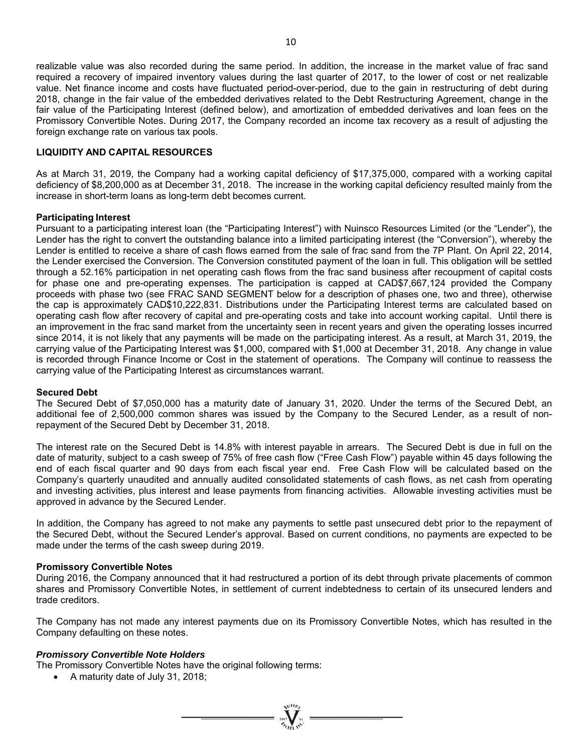realizable value was also recorded during the same period. In addition, the increase in the market value of frac sand required a recovery of impaired inventory values during the last quarter of 2017, to the lower of cost or net realizable value. Net finance income and costs have fluctuated period-over-period, due to the gain in restructuring of debt during 2018, change in the fair value of the embedded derivatives related to the Debt Restructuring Agreement, change in the fair value of the Participating Interest (defined below), and amortization of embedded derivatives and loan fees on the Promissory Convertible Notes. During 2017, the Company recorded an income tax recovery as a result of adjusting the foreign exchange rate on various tax pools.

#### **LIQUIDITY AND CAPITAL RESOURCES**

As at March 31, 2019, the Company had a working capital deficiency of \$17,375,000, compared with a working capital deficiency of \$8,200,000 as at December 31, 2018. The increase in the working capital deficiency resulted mainly from the increase in short-term loans as long-term debt becomes current.

#### **Participating Interest**

Pursuant to a participating interest loan (the "Participating Interest") with Nuinsco Resources Limited (or the "Lender"), the Lender has the right to convert the outstanding balance into a limited participating interest (the "Conversion"), whereby the Lender is entitled to receive a share of cash flows earned from the sale of frac sand from the 7P Plant. On April 22, 2014, the Lender exercised the Conversion. The Conversion constituted payment of the loan in full. This obligation will be settled through a 52.16% participation in net operating cash flows from the frac sand business after recoupment of capital costs for phase one and pre-operating expenses. The participation is capped at CAD\$7,667,124 provided the Company proceeds with phase two (see FRAC SAND SEGMENT below for a description of phases one, two and three), otherwise the cap is approximately CAD\$10,222,831. Distributions under the Participating Interest terms are calculated based on operating cash flow after recovery of capital and pre-operating costs and take into account working capital. Until there is an improvement in the frac sand market from the uncertainty seen in recent years and given the operating losses incurred since 2014, it is not likely that any payments will be made on the participating interest. As a result, at March 31, 2019, the carrying value of the Participating Interest was \$1,000, compared with \$1,000 at December 31, 2018. Any change in value is recorded through Finance Income or Cost in the statement of operations. The Company will continue to reassess the carrying value of the Participating Interest as circumstances warrant.

#### **Secured Debt**

The Secured Debt of \$7,050,000 has a maturity date of January 31, 2020. Under the terms of the Secured Debt, an additional fee of 2,500,000 common shares was issued by the Company to the Secured Lender, as a result of nonrepayment of the Secured Debt by December 31, 2018.

The interest rate on the Secured Debt is 14.8% with interest payable in arrears. The Secured Debt is due in full on the date of maturity, subject to a cash sweep of 75% of free cash flow ("Free Cash Flow") payable within 45 days following the end of each fiscal quarter and 90 days from each fiscal year end. Free Cash Flow will be calculated based on the Company's quarterly unaudited and annually audited consolidated statements of cash flows, as net cash from operating and investing activities, plus interest and lease payments from financing activities. Allowable investing activities must be approved in advance by the Secured Lender.

In addition, the Company has agreed to not make any payments to settle past unsecured debt prior to the repayment of the Secured Debt, without the Secured Lender's approval. Based on current conditions, no payments are expected to be made under the terms of the cash sweep during 2019.

#### **Promissory Convertible Notes**

During 2016, the Company announced that it had restructured a portion of its debt through private placements of common shares and Promissory Convertible Notes, in settlement of current indebtedness to certain of its unsecured lenders and trade creditors.

The Company has not made any interest payments due on its Promissory Convertible Notes, which has resulted in the Company defaulting on these notes.

#### *Promissory Convertible Note Holders*

The Promissory Convertible Notes have the original following terms:

A maturity date of July 31, 2018;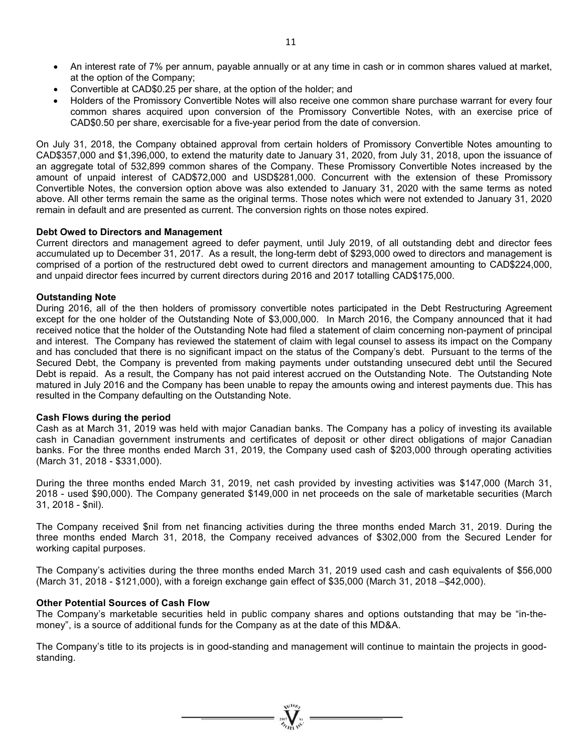- An interest rate of 7% per annum, payable annually or at any time in cash or in common shares valued at market, at the option of the Company;
- Convertible at CAD\$0.25 per share, at the option of the holder; and
- Holders of the Promissory Convertible Notes will also receive one common share purchase warrant for every four common shares acquired upon conversion of the Promissory Convertible Notes, with an exercise price of CAD\$0.50 per share, exercisable for a five-year period from the date of conversion.

On July 31, 2018, the Company obtained approval from certain holders of Promissory Convertible Notes amounting to CAD\$357,000 and \$1,396,000, to extend the maturity date to January 31, 2020, from July 31, 2018, upon the issuance of an aggregate total of 532,899 common shares of the Company. These Promissory Convertible Notes increased by the amount of unpaid interest of CAD\$72,000 and USD\$281,000. Concurrent with the extension of these Promissory Convertible Notes, the conversion option above was also extended to January 31, 2020 with the same terms as noted above. All other terms remain the same as the original terms. Those notes which were not extended to January 31, 2020 remain in default and are presented as current. The conversion rights on those notes expired.

#### **Debt Owed to Directors and Management**

Current directors and management agreed to defer payment, until July 2019, of all outstanding debt and director fees accumulated up to December 31, 2017. As a result, the long-term debt of \$293,000 owed to directors and management is comprised of a portion of the restructured debt owed to current directors and management amounting to CAD\$224,000, and unpaid director fees incurred by current directors during 2016 and 2017 totalling CAD\$175,000.

#### **Outstanding Note**

During 2016, all of the then holders of promissory convertible notes participated in the Debt Restructuring Agreement except for the one holder of the Outstanding Note of \$3,000,000. In March 2016, the Company announced that it had received notice that the holder of the Outstanding Note had filed a statement of claim concerning non-payment of principal and interest. The Company has reviewed the statement of claim with legal counsel to assess its impact on the Company and has concluded that there is no significant impact on the status of the Company's debt. Pursuant to the terms of the Secured Debt, the Company is prevented from making payments under outstanding unsecured debt until the Secured Debt is repaid. As a result, the Company has not paid interest accrued on the Outstanding Note. The Outstanding Note matured in July 2016 and the Company has been unable to repay the amounts owing and interest payments due. This has resulted in the Company defaulting on the Outstanding Note.

#### **Cash Flows during the period**

Cash as at March 31, 2019 was held with major Canadian banks. The Company has a policy of investing its available cash in Canadian government instruments and certificates of deposit or other direct obligations of major Canadian banks. For the three months ended March 31, 2019, the Company used cash of \$203,000 through operating activities (March 31, 2018 - \$331,000).

During the three months ended March 31, 2019, net cash provided by investing activities was \$147,000 (March 31, 2018 - used \$90,000). The Company generated \$149,000 in net proceeds on the sale of marketable securities (March 31, 2018 - \$nil).

The Company received \$nil from net financing activities during the three months ended March 31, 2019. During the three months ended March 31, 2018, the Company received advances of \$302,000 from the Secured Lender for working capital purposes.

The Company's activities during the three months ended March 31, 2019 used cash and cash equivalents of \$56,000 (March 31, 2018 - \$121,000), with a foreign exchange gain effect of \$35,000 (March 31, 2018 –\$42,000).

#### **Other Potential Sources of Cash Flow**

The Company's marketable securities held in public company shares and options outstanding that may be "in-themoney", is a source of additional funds for the Company as at the date of this MD&A.

The Company's title to its projects is in good-standing and management will continue to maintain the projects in goodstanding.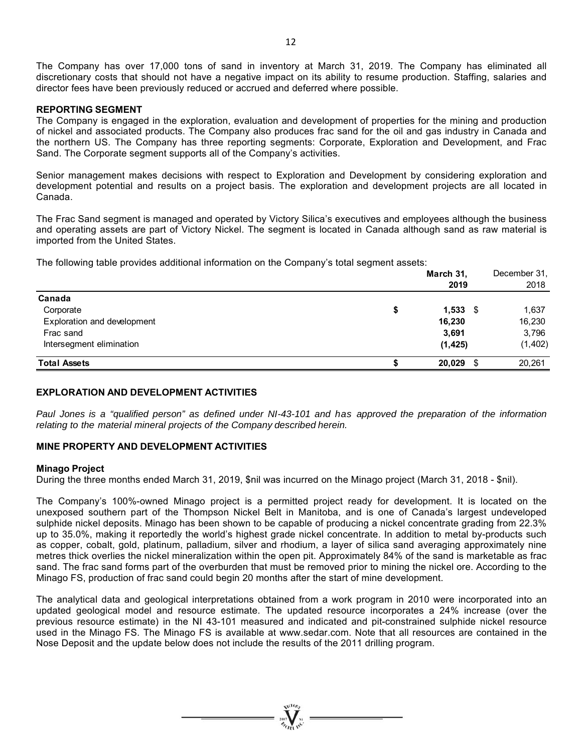The Company has over 17,000 tons of sand in inventory at March 31, 2019. The Company has eliminated all discretionary costs that should not have a negative impact on its ability to resume production. Staffing, salaries and director fees have been previously reduced or accrued and deferred where possible.

#### **REPORTING SEGMENT**

The Company is engaged in the exploration, evaluation and development of properties for the mining and production of nickel and associated products. The Company also produces frac sand for the oil and gas industry in Canada and the northern US. The Company has three reporting segments: Corporate, Exploration and Development, and Frac Sand. The Corporate segment supports all of the Company's activities.

Senior management makes decisions with respect to Exploration and Development by considering exploration and development potential and results on a project basis. The exploration and development projects are all located in Canada.

The Frac Sand segment is managed and operated by Victory Silica's executives and employees although the business and operating assets are part of Victory Nickel. The segment is located in Canada although sand as raw material is imported from the United States.

The following table provides additional information on the Company's total segment assets:

|                             |    | March 31,<br>2019 | December 31,<br>2018 |
|-----------------------------|----|-------------------|----------------------|
| Canada                      |    |                   |                      |
| Corporate                   | \$ | $1,533$ \$        | 1,637                |
| Exploration and development |    | 16,230            | 16,230               |
| Frac sand                   |    | 3,691             | 3,796                |
| Intersegment elimination    |    | (1, 425)          | (1, 402)             |
| <b>Total Assets</b>         | ъ  | $20.029$ \$       | 20,261               |

#### **EXPLORATION AND DEVELOPMENT ACTIVITIES**

Paul Jones is a "qualified person" as defined under NI-43-101 and has approved the preparation of the information *relating to the material mineral projects of the Company described herein.* 

#### **MINE PROPERTY AND DEVELOPMENT ACTIVITIES**

#### **Minago Project**

During the three months ended March 31, 2019, \$nil was incurred on the Minago project (March 31, 2018 - \$nil).

The Company's 100%-owned Minago project is a permitted project ready for development. It is located on the unexposed southern part of the Thompson Nickel Belt in Manitoba, and is one of Canada's largest undeveloped sulphide nickel deposits. Minago has been shown to be capable of producing a nickel concentrate grading from 22.3% up to 35.0%, making it reportedly the world's highest grade nickel concentrate. In addition to metal by-products such as copper, cobalt, gold, platinum, palladium, silver and rhodium, a layer of silica sand averaging approximately nine metres thick overlies the nickel mineralization within the open pit. Approximately 84% of the sand is marketable as frac sand. The frac sand forms part of the overburden that must be removed prior to mining the nickel ore. According to the Minago FS, production of frac sand could begin 20 months after the start of mine development.

The analytical data and geological interpretations obtained from a work program in 2010 were incorporated into an updated geological model and resource estimate. The updated resource incorporates a 24% increase (over the previous resource estimate) in the NI 43-101 measured and indicated and pit-constrained sulphide nickel resource used in the Minago FS. The Minago FS is available at www.sedar.com. Note that all resources are contained in the Nose Deposit and the update below does not include the results of the 2011 drilling program.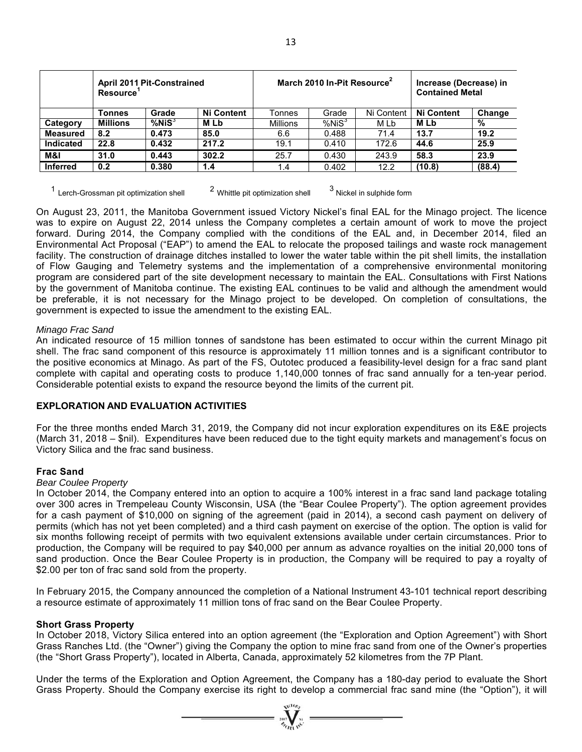|                 | <b>April 2011 Pit-Constrained</b><br><b>Resource</b> |              |                   | March 2010 In-Pit Resource <sup>2</sup> | Increase (Decrease) in<br><b>Contained Metal</b> |       |        |        |                   |        |
|-----------------|------------------------------------------------------|--------------|-------------------|-----------------------------------------|--------------------------------------------------|-------|--------|--------|-------------------|--------|
|                 | Tonnes                                               | Grade        | <b>Ni Content</b> | Tonnes                                  | Grade<br>Ni Content                              |       |        |        | <b>Ni Content</b> | Change |
| Category        | <b>Millions</b>                                      | $%$ Ni $S^3$ | M Lb              | <b>Millions</b>                         | $%NIS^3$                                         | M Lb  | M Lb   | %      |                   |        |
| <b>Measured</b> | 8.2                                                  | 0.473        | 85.0              | 6.6                                     | 0.488                                            | 71.4  | 13.7   | 19.2   |                   |        |
| Indicated       | 22.8                                                 | 0.432        | 217.2             | 19.1                                    | 0.410                                            | 172.6 | 44.6   | 25.9   |                   |        |
| <b>M&amp;I</b>  | 31.0                                                 | 0.443        | 302.2             | 25.7                                    | 0.430                                            | 243.9 | 58.3   | 23.9   |                   |        |
| <b>Inferred</b> | 0.2                                                  | 0.380        | 1.4               | 1.4                                     | 0.402                                            | 12.2  | (10.8) | (88.4) |                   |        |

<sup>1</sup> Lerch-Grossman pit optimization shell  $2$  Whittle pit optimization shell  $3$  Nickel in sulphide form

On August 23, 2011, the Manitoba Government issued Victory Nickel's final EAL for the Minago project. The licence was to expire on August 22, 2014 unless the Company completes a certain amount of work to move the project forward. During 2014, the Company complied with the conditions of the EAL and, in December 2014, filed an Environmental Act Proposal ("EAP") to amend the EAL to relocate the proposed tailings and waste rock management facility. The construction of drainage ditches installed to lower the water table within the pit shell limits, the installation of Flow Gauging and Telemetry systems and the implementation of a comprehensive environmental monitoring program are considered part of the site development necessary to maintain the EAL. Consultations with First Nations by the government of Manitoba continue. The existing EAL continues to be valid and although the amendment would be preferable, it is not necessary for the Minago project to be developed. On completion of consultations, the government is expected to issue the amendment to the existing EAL.

#### *Minago Frac Sand*

An indicated resource of 15 million tonnes of sandstone has been estimated to occur within the current Minago pit shell. The frac sand component of this resource is approximately 11 million tonnes and is a significant contributor to the positive economics at Minago. As part of the FS, Outotec produced a feasibility-level design for a frac sand plant complete with capital and operating costs to produce 1,140,000 tonnes of frac sand annually for a ten-year period. Considerable potential exists to expand the resource beyond the limits of the current pit.

## **EXPLORATION AND EVALUATION ACTIVITIES**

For the three months ended March 31, 2019, the Company did not incur exploration expenditures on its E&E projects (March 31, 2018 – \$nil). Expenditures have been reduced due to the tight equity markets and management's focus on Victory Silica and the frac sand business.

#### **Frac Sand**

#### *Bear Coulee Property*

In October 2014, the Company entered into an option to acquire a 100% interest in a frac sand land package totaling over 300 acres in Trempeleau County Wisconsin, USA (the "Bear Coulee Property"). The option agreement provides for a cash payment of \$10,000 on signing of the agreement (paid in 2014), a second cash payment on delivery of permits (which has not yet been completed) and a third cash payment on exercise of the option. The option is valid for six months following receipt of permits with two equivalent extensions available under certain circumstances. Prior to production, the Company will be required to pay \$40,000 per annum as advance royalties on the initial 20,000 tons of sand production. Once the Bear Coulee Property is in production, the Company will be required to pay a royalty of \$2.00 per ton of frac sand sold from the property.

In February 2015, the Company announced the completion of a National Instrument 43-101 technical report describing a resource estimate of approximately 11 million tons of frac sand on the Bear Coulee Property.

#### **Short Grass Property**

In October 2018, Victory Silica entered into an option agreement (the "Exploration and Option Agreement") with Short Grass Ranches Ltd. (the "Owner") giving the Company the option to mine frac sand from one of the Owner's properties (the "Short Grass Property"), located in Alberta, Canada, approximately 52 kilometres from the 7P Plant.

Under the terms of the Exploration and Option Agreement, the Company has a 180-day period to evaluate the Short Grass Property. Should the Company exercise its right to develop a commercial frac sand mine (the "Option"), it will

 $\sum_{n=1}^{\infty} \sum_{n=1}^{\infty} \sum_{n=1}^{\infty}$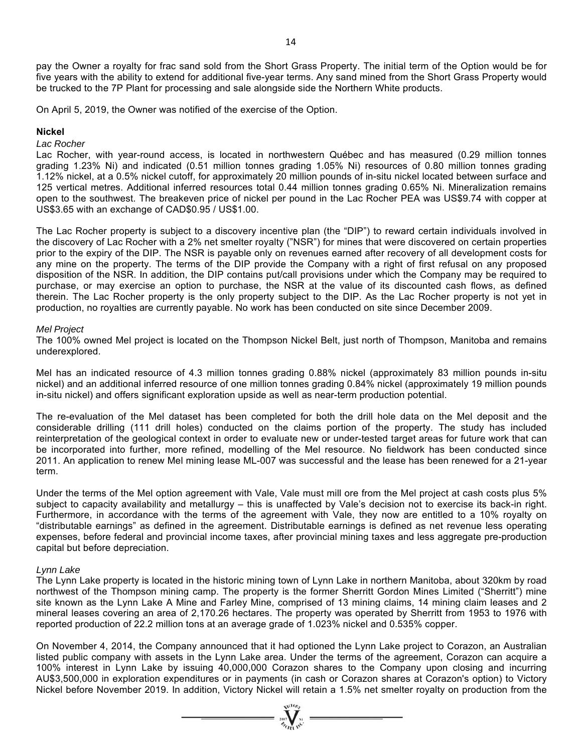pay the Owner a royalty for frac sand sold from the Short Grass Property. The initial term of the Option would be for five years with the ability to extend for additional five-year terms. Any sand mined from the Short Grass Property would be trucked to the 7P Plant for processing and sale alongside side the Northern White products.

On April 5, 2019, the Owner was notified of the exercise of the Option.

#### **Nickel**

#### *Lac Rocher*

Lac Rocher, with year-round access, is located in northwestern Québec and has measured (0.29 million tonnes grading 1.23% Ni) and indicated (0.51 million tonnes grading 1.05% Ni) resources of 0.80 million tonnes grading 1.12% nickel, at a 0.5% nickel cutoff, for approximately 20 million pounds of in-situ nickel located between surface and 125 vertical metres. Additional inferred resources total 0.44 million tonnes grading 0.65% Ni. Mineralization remains open to the southwest. The breakeven price of nickel per pound in the Lac Rocher PEA was US\$9.74 with copper at US\$3.65 with an exchange of CAD\$0.95 / US\$1.00.

The Lac Rocher property is subject to a discovery incentive plan (the "DIP") to reward certain individuals involved in the discovery of Lac Rocher with a 2% net smelter royalty ("NSR") for mines that were discovered on certain properties prior to the expiry of the DIP. The NSR is payable only on revenues earned after recovery of all development costs for any mine on the property. The terms of the DIP provide the Company with a right of first refusal on any proposed disposition of the NSR. In addition, the DIP contains put/call provisions under which the Company may be required to purchase, or may exercise an option to purchase, the NSR at the value of its discounted cash flows, as defined therein. The Lac Rocher property is the only property subject to the DIP. As the Lac Rocher property is not yet in production, no royalties are currently payable. No work has been conducted on site since December 2009.

#### *Mel Project*

The 100% owned Mel project is located on the Thompson Nickel Belt, just north of Thompson, Manitoba and remains underexplored.

Mel has an indicated resource of 4.3 million tonnes grading 0.88% nickel (approximately 83 million pounds in-situ nickel) and an additional inferred resource of one million tonnes grading 0.84% nickel (approximately 19 million pounds in-situ nickel) and offers significant exploration upside as well as near-term production potential.

The re-evaluation of the Mel dataset has been completed for both the drill hole data on the Mel deposit and the considerable drilling (111 drill holes) conducted on the claims portion of the property. The study has included reinterpretation of the geological context in order to evaluate new or under-tested target areas for future work that can be incorporated into further, more refined, modelling of the Mel resource. No fieldwork has been conducted since 2011. An application to renew Mel mining lease ML-007 was successful and the lease has been renewed for a 21-year term.

Under the terms of the Mel option agreement with Vale, Vale must mill ore from the Mel project at cash costs plus 5% subject to capacity availability and metallurgy – this is unaffected by Vale's decision not to exercise its back-in right. Furthermore, in accordance with the terms of the agreement with Vale, they now are entitled to a 10% royalty on "distributable earnings" as defined in the agreement. Distributable earnings is defined as net revenue less operating expenses, before federal and provincial income taxes, after provincial mining taxes and less aggregate pre-production capital but before depreciation.

#### *Lynn Lake*

The Lynn Lake property is located in the historic mining town of Lynn Lake in northern Manitoba, about 320km by road northwest of the Thompson mining camp. The property is the former Sherritt Gordon Mines Limited ("Sherritt") mine site known as the Lynn Lake A Mine and Farley Mine, comprised of 13 mining claims, 14 mining claim leases and 2 mineral leases covering an area of 2,170.26 hectares. The property was operated by Sherritt from 1953 to 1976 with reported production of 22.2 million tons at an average grade of 1.023% nickel and 0.535% copper.

On November 4, 2014, the Company announced that it had optioned the Lynn Lake project to Corazon, an Australian listed public company with assets in the Lynn Lake area. Under the terms of the agreement, Corazon can acquire a 100% interest in Lynn Lake by issuing 40,000,000 Corazon shares to the Company upon closing and incurring AU\$3,500,000 in exploration expenditures or in payments (in cash or Corazon shares at Corazon's option) to Victory Nickel before November 2019. In addition, Victory Nickel will retain a 1.5% net smelter royalty on production from the

 $=\sqrt[n]{\frac{1}{\sqrt[n]{\sum_{i=1}^{N}x_i}}}=$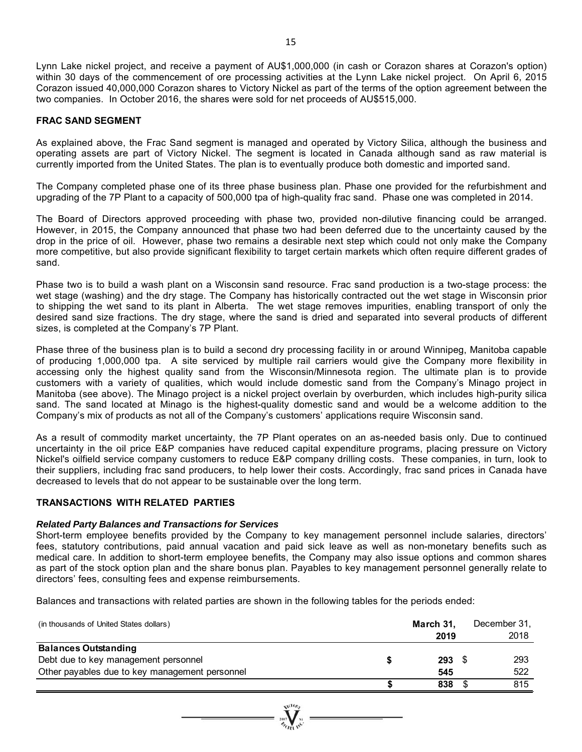Lynn Lake nickel project, and receive a payment of AU\$1,000,000 (in cash or Corazon shares at Corazon's option) within 30 days of the commencement of ore processing activities at the Lynn Lake nickel project. On April 6, 2015 Corazon issued 40,000,000 Corazon shares to Victory Nickel as part of the terms of the option agreement between the two companies. In October 2016, the shares were sold for net proceeds of AU\$515,000.

#### **FRAC SAND SEGMENT**

As explained above, the Frac Sand segment is managed and operated by Victory Silica, although the business and operating assets are part of Victory Nickel. The segment is located in Canada although sand as raw material is currently imported from the United States. The plan is to eventually produce both domestic and imported sand.

The Company completed phase one of its three phase business plan. Phase one provided for the refurbishment and upgrading of the 7P Plant to a capacity of 500,000 tpa of high-quality frac sand. Phase one was completed in 2014.

The Board of Directors approved proceeding with phase two, provided non-dilutive financing could be arranged. However, in 2015, the Company announced that phase two had been deferred due to the uncertainty caused by the drop in the price of oil. However, phase two remains a desirable next step which could not only make the Company more competitive, but also provide significant flexibility to target certain markets which often require different grades of sand.

Phase two is to build a wash plant on a Wisconsin sand resource. Frac sand production is a two-stage process: the wet stage (washing) and the dry stage. The Company has historically contracted out the wet stage in Wisconsin prior to shipping the wet sand to its plant in Alberta. The wet stage removes impurities, enabling transport of only the desired sand size fractions. The dry stage, where the sand is dried and separated into several products of different sizes, is completed at the Company's 7P Plant.

Phase three of the business plan is to build a second dry processing facility in or around Winnipeg, Manitoba capable of producing 1,000,000 tpa. A site serviced by multiple rail carriers would give the Company more flexibility in accessing only the highest quality sand from the Wisconsin/Minnesota region. The ultimate plan is to provide customers with a variety of qualities, which would include domestic sand from the Company's Minago project in Manitoba (see above). The Minago project is a nickel project overlain by overburden, which includes high-purity silica sand. The sand located at Minago is the highest-quality domestic sand and would be a welcome addition to the Company's mix of products as not all of the Company's customers' applications require Wisconsin sand.

As a result of commodity market uncertainty, the 7P Plant operates on an as-needed basis only. Due to continued uncertainty in the oil price E&P companies have reduced capital expenditure programs, placing pressure on Victory Nickel's oilfield service company customers to reduce E&P company drilling costs. These companies, in turn, look to their suppliers, including frac sand producers, to help lower their costs. Accordingly, frac sand prices in Canada have decreased to levels that do not appear to be sustainable over the long term.

#### **TRANSACTIONS WITH RELATED PARTIES**

#### *Related Party Balances and Transactions for Services*

Short-term employee benefits provided by the Company to key management personnel include salaries, directors' fees, statutory contributions, paid annual vacation and paid sick leave as well as non-monetary benefits such as medical care. In addition to short-term employee benefits, the Company may also issue options and common shares as part of the stock option plan and the share bonus plan. Payables to key management personnel generally relate to directors' fees, consulting fees and expense reimbursements.

Balances and transactions with related parties are shown in the following tables for the periods ended:

| (in thousands of United States dollars)        | March 31, | December 31, |
|------------------------------------------------|-----------|--------------|
|                                                | 2019      | 2018         |
| <b>Balances Outstanding</b>                    |           |              |
| Debt due to key management personnel           | 293       | 293          |
| Other payables due to key management personnel | 545       | 522          |
|                                                | 838       | 815          |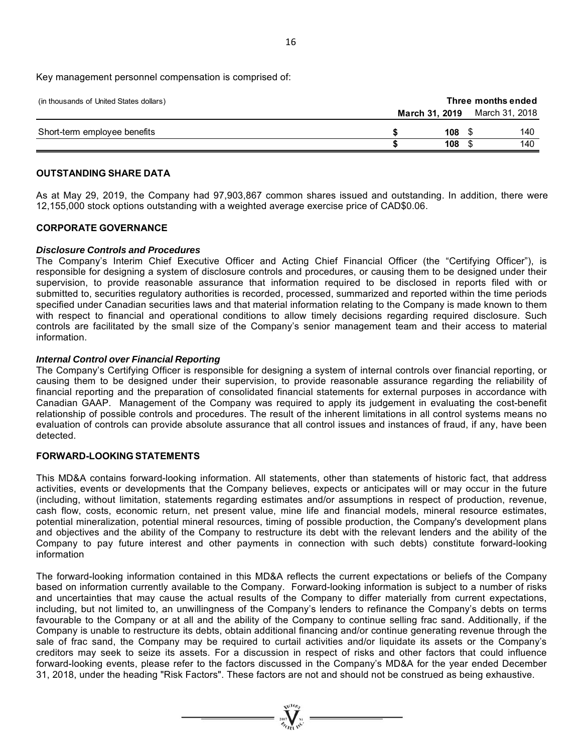Key management personnel compensation is comprised of:

| (in thousands of United States dollars) | Three months ended |     |  |                                      |
|-----------------------------------------|--------------------|-----|--|--------------------------------------|
|                                         |                    |     |  | <b>March 31, 2019</b> March 31, 2018 |
| Short-term employee benefits            |                    | 108 |  | 140                                  |
|                                         |                    | 108 |  | 140                                  |

#### **OUTSTANDING SHARE DATA**

As at May 29, 2019, the Company had 97,903,867 common shares issued and outstanding. In addition, there were 12,155,000 stock options outstanding with a weighted average exercise price of CAD\$0.06.

#### **CORPORATE GOVERNANCE**

#### *Disclosure Controls and Procedures*

The Company's Interim Chief Executive Officer and Acting Chief Financial Officer (the "Certifying Officer"), is responsible for designing a system of disclosure controls and procedures, or causing them to be designed under their supervision, to provide reasonable assurance that information required to be disclosed in reports filed with or submitted to, securities regulatory authorities is recorded, processed, summarized and reported within the time periods specified under Canadian securities laws and that material information relating to the Company is made known to them with respect to financial and operational conditions to allow timely decisions regarding required disclosure. Such controls are facilitated by the small size of the Company's senior management team and their access to material information.

#### *Internal Control over Financial Reporting*

The Company's Certifying Officer is responsible for designing a system of internal controls over financial reporting, or causing them to be designed under their supervision, to provide reasonable assurance regarding the reliability of financial reporting and the preparation of consolidated financial statements for external purposes in accordance with Canadian GAAP. Management of the Company was required to apply its judgement in evaluating the cost-benefit relationship of possible controls and procedures. The result of the inherent limitations in all control systems means no evaluation of controls can provide absolute assurance that all control issues and instances of fraud, if any, have been detected.

#### **FORWARD-LOOKING STATEMENTS**

This MD&A contains forward-looking information. All statements, other than statements of historic fact, that address activities, events or developments that the Company believes, expects or anticipates will or may occur in the future (including, without limitation, statements regarding estimates and/or assumptions in respect of production, revenue, cash flow, costs, economic return, net present value, mine life and financial models, mineral resource estimates, potential mineralization, potential mineral resources, timing of possible production, the Company's development plans and objectives and the ability of the Company to restructure its debt with the relevant lenders and the ability of the Company to pay future interest and other payments in connection with such debts) constitute forward-looking information

The forward-looking information contained in this MD&A reflects the current expectations or beliefs of the Company based on information currently available to the Company. Forward-looking information is subject to a number of risks and uncertainties that may cause the actual results of the Company to differ materially from current expectations, including, but not limited to, an unwillingness of the Company's lenders to refinance the Company's debts on terms favourable to the Company or at all and the ability of the Company to continue selling frac sand. Additionally, if the Company is unable to restructure its debts, obtain additional financing and/or continue generating revenue through the sale of frac sand, the Company may be required to curtail activities and/or liquidate its assets or the Company's creditors may seek to seize its assets. For a discussion in respect of risks and other factors that could influence forward-looking events, please refer to the factors discussed in the Company's MD&A for the year ended December 31, 2018, under the heading "Risk Factors". These factors are not and should not be construed as being exhaustive.